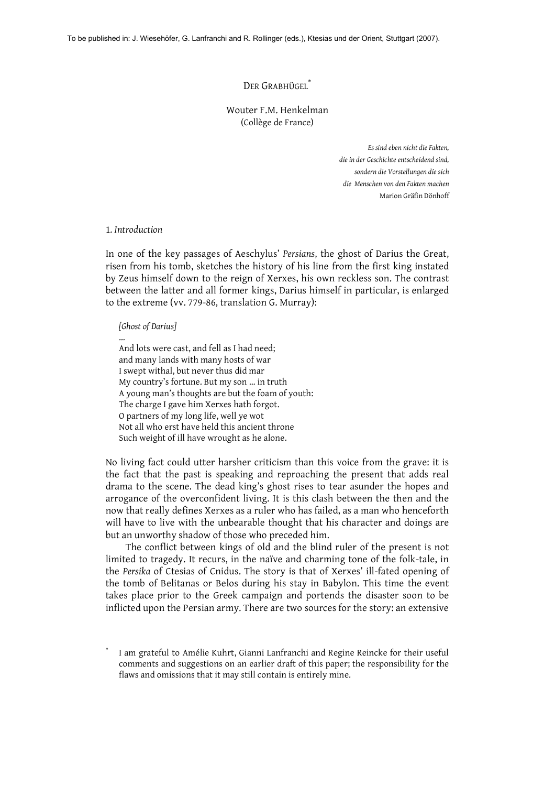# $\mathrm{Der}$  Grabhügel $^{^*}$

Wouter F.M. Henkelman (Collège de France)

> *Es sind eben nicht die Fakten, die in der Geschichte entscheidend sind, sondern die Vorstellungen die sich die Menschen von den Fakten machen* Marion Gräfin Dönhoff

## 1*. Introduction*

In one of the key passages of Aeschylus' *Persians*, the ghost of Darius the Great, risen from his tomb, sketches the history of his line from the first king instated by Zeus himself down to the reign of Xerxes, his own reckless son. The contrast between the latter and all former kings, Darius himself in particular, is enlarged to the extreme (vv. 779-86, translation G. Murray):

## *[Ghost of Darius]*

… And lots were cast, and fell as I had need; and many lands with many hosts of war I swept withal, but never thus did mar My country's fortune. But my son … in truth A young man's thoughts are but the foam of youth: The charge I gave him Xerxes hath forgot. O partners of my long life, well ye wot Not all who erst have held this ancient throne Such weight of ill have wrought as he alone.

No living fact could utter harsher criticism than this voice from the grave: it is the fact that the past is speaking and reproaching the present that adds real drama to the scene. The dead king's ghost rises to tear asunder the hopes and arrogance of the overconfident living. It is this clash between the then and the now that really defines Xerxes as a ruler who has failed, as a man who henceforth will have to live with the unbearable thought that his character and doings are but an unworthy shadow of those who preceded him.

The conflict between kings of old and the blind ruler of the present is not limited to tragedy. It recurs, in the naïve and charming tone of the folk-tale, in the *Persika* of Ctesias of Cnidus. The story is that of Xerxes' ill-fated opening of the tomb of Belitanas or Belos during his stay in Babylon. This time the event takes place prior to the Greek campaign and portends the disaster soon to be inflicted upon the Persian army. There are two sources for the story: an extensive

I am grateful to Amélie Kuhrt, Gianni Lanfranchi and Regine Reincke for their useful comments and suggestions on an earlier draft of this paper; the responsibility for the flaws and omissions that it may still contain is entirely mine.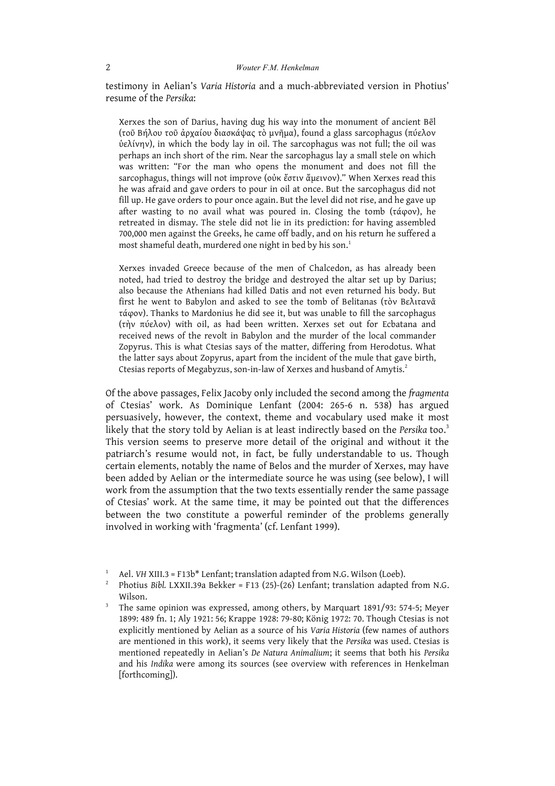testimony in Aelian's *Varia Historia* and a much-abbreviated version in Photius' resume of the *Persika*:

Xerxes the son of Darius, having dug his way into the monument of ancient Bēl (τοῦ Βήλου τοῦ ἀρχαίου διασκάψας τὸ μνῆμα), found a glass sarcophagus (πύελον ὑελίνην), in which the body lay in oil. The sarcophagus was not full; the oil was perhaps an inch short of the rim. Near the sarcophagus lay a small stele on which was written: "For the man who opens the monument and does not fill the sarcophagus, things will not improve (οὐκ ἔστιν ἄμεινον)." When Xerxes read this he was afraid and gave orders to pour in oil at once. But the sarcophagus did not fill up. He gave orders to pour once again. But the level did not rise, and he gave up after wasting to no avail what was poured in. Closing the tomb (τάφον), he retreated in dismay. The stele did not lie in its prediction: for having assembled 700,000 men against the Greeks, he came off badly, and on his return he suffered a most shameful death, murdered one night in bed by his son. 1

Xerxes invaded Greece because of the men of Chalcedon, as has already been noted, had tried to destroy the bridge and destroyed the altar set up by Darius; also because the Athenians had killed Datis and not even returned his body. But first he went to Babylon and asked to see the tomb of Belitanas (τὸν Βελιτανᾶ τάφον). Thanks to Mardonius he did see it, but was unable to fill the sarcophagus (τὴν πύελον) with oil, as had been written. Xerxes set out for Ecbatana and received news of the revolt in Babylon and the murder of the local commander Zopyrus. This is what Ctesias says of the matter, differing from Herodotus. What the latter says about Zopyrus, apart from the incident of the mule that gave birth, Ctesias reports of Megabyzus, son-in-law of Xerxes and husband of Amytis. 2

Of the above passages, Felix Jacoby only included the second among the *fragmenta* of Ctesias' work. As Dominique Lenfant (2004: 265-6 n. 538) has argued persuasively, however, the context, theme and vocabulary used make it most likely that the story told by Aelian is at least indirectly based on the *Persika* too. 3 This version seems to preserve more detail of the original and without it the patriarch's resume would not, in fact, be fully understandable to us. Though certain elements, notably the name of Belos and the murder of Xerxes, may have been added by Aelian or the intermediate source he was using (see below), I will work from the assumption that the two texts essentially render the same passage of Ctesias' work. At the same time, it may be pointed out that the differences between the two constitute a powerful reminder of the problems generally involved in working with 'fragmenta' (cf. Lenfant 1999).

<sup>1</sup> Ael. *VH* XIII.3 = F13b\* Lenfant; translation adapted from N.G. Wilson (Loeb).

<sup>&</sup>lt;sup>2</sup> Photius *Bibl. LXXII.39a Bekker* = F13 (25)-(26) Lenfant; translation adapted from N.G. Wilson.

<sup>&</sup>lt;sup>3</sup> The same opinion was expressed, among others, by Marquart 1891/93: 574-5; Meyer 1899: 489 fn. 1; Aly 1921: 56; Krappe 1928: 79-80; König 1972: 70. Though Ctesias is not explicitly mentioned by Aelian as a source of his *Varia Historia* (few names of authors are mentioned in this work), it seems very likely that the *Persika* was used. Ctesias is mentioned repeatedly in Aelian's *De Natura Animalium*; it seems that both his *Persika* and his *Indika* were among its sources (see overview with references in Henkelman [forthcoming]).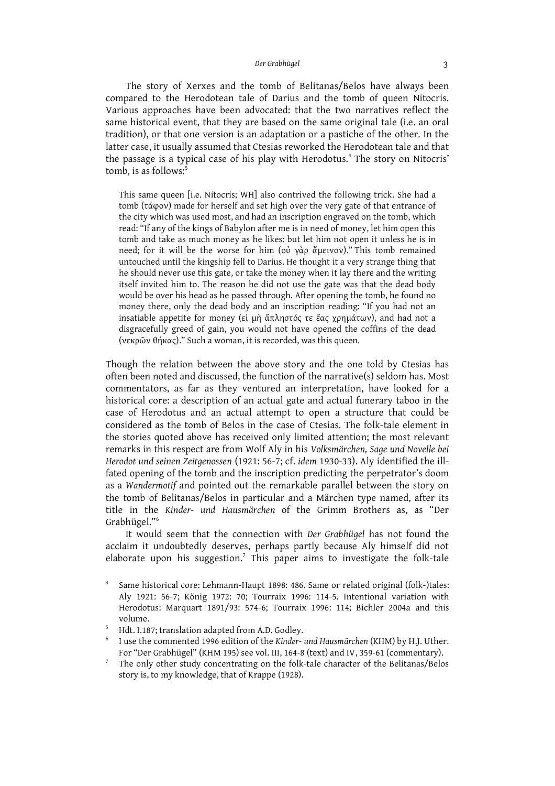The story of Xerxes and the tomb of Belitanas/Belos have always been compared to the Herodotean tale of Darius and the tomb of queen Nitocris. Various approaches have been advocated: that the two narratives reflect the same historical event, that they are based on the same original tale (i.e. an oral tradition), or that one version is an adaptation or a pastiche of the other. In the latter case, it usually assumed that Ctesias reworked the Herodotean tale and that the passage is a typical case of his play with Herodotus. <sup>4</sup> The story on Nitocris' tomb, is as follows: 5

This same queen [i.e. Nitocris; WH] also contrived the following trick. She had a tomb (τάφον) made for herself and set high over the very gate of that entrance of the city which was used most, and had an inscription engraved on the tomb, which read: "If any of the kings of Babylon after me is in need of money, let him open this tomb and take as much money as he likes: but let him not open it unless he is in need; for it will be the worse for him (οὐ γὰρ ἄμεινον)." This tomb remained untouched until the kingship fell to Darius. He thought it a very strange thing that he should never use this gate, or take the money when it lay there and the writing itself invited him to. The reason he did not use the gate was that the dead body would be over his head as he passed through. After opening the tomb, he found no money there, only the dead body and an inscription reading: "If you had not an insatiable appetite for money (εἰ μὴ ἄπληστός τε ἔας χρημάτων), and had not a disgracefully greed of gain, you would not have opened the coffins of the dead (νεκρῶν θήκας)." Such a woman, it is recorded, was this queen.

Though the relation between the above story and the one told by Ctesias has often been noted and discussed, the function of the narrative(s) seldom has. Most commentators, as far as they ventured an interpretation, have looked for a historical core: a description of an actual gate and actual funerary taboo in the case of Herodotus and an actual attempt to open a structure that could be considered as the tomb of Belos in the case of Ctesias. The folk-tale element in the stories quoted above has received only limited attention; the most relevant remarks in this respect are from Wolf Aly in his *Volksmärchen, Sage und Novelle bei Herodot und seinen Zeitgenossen* (1921: 56-7; cf. *idem* 1930-33). Aly identified the illfated opening of the tomb and the inscription predicting the perpetrator's doom as a *Wandermotif* and pointed out the remarkable parallel between the story on the tomb of Belitanas/Belos in particular and a Märchen type named, after its title in the *Kinder- und Hausmärchen* of the Grimm Brothers as, as "Der Grabhügel."<sup>6</sup>

It would seem that the connection with *Der Grabhügel* has not found the acclaim it undoubtedly deserves, perhaps partly because Aly himself did not elaborate upon his suggestion. <sup>7</sup> This paper aims to investigate the folk-tale

- <sup>6</sup> I use the commented 1996 edition of the *Kinder- und Hausmärchen* (KHM) by H.J. Uther. For "Der Grabhügel" (KHM 195) see vol. III, 164-8 (text) and IV, 359-61 (commentary).
- <sup>7</sup> The only other study concentrating on the folk-tale character of the Belitanas/Belos story is, to my knowledge, that of Krappe (1928).

Same historical core: Lehmann-Haupt 1898: 486. Same or related original (folk-)tales: Aly 1921: 56-7; König 1972: 70; Tourraix 1996: 114-5. Intentional variation with Herodotus: Marquart 1891/93: 574-6; Tourraix 1996: 114; Bichler 2004a and this volume.

Hdt. I.187; translation adapted from A.D. Godley.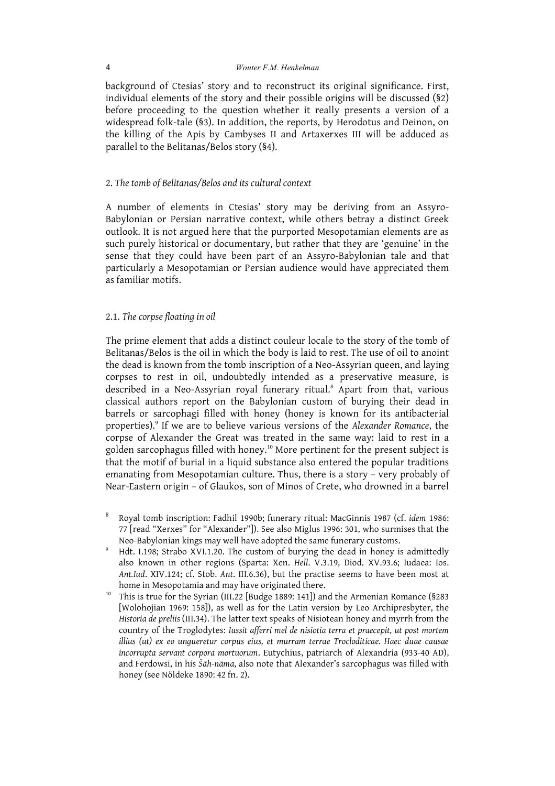background of Ctesias' story and to reconstruct its original significance. First, individual elements of the story and their possible origins will be discussed (§2) before proceeding to the question whether it really presents a version of a widespread folk-tale (§3). In addition, the reports, by Herodotus and Deinon, on the killing of the Apis by Cambyses II and Artaxerxes III will be adduced as parallel to the Belitanas/Belos story (§4).

# 2. *The tomb of Belitanas/Belos and its cultural context*

A number of elements in Ctesias' story may be deriving from an Assyro-Babylonian or Persian narrative context, while others betray a distinct Greek outlook. It is not argued here that the purported Mesopotamian elements are as such purely historical or documentary, but rather that they are 'genuine' in the sense that they could have been part of an Assyro-Babylonian tale and that particularly a Mesopotamian or Persian audience would have appreciated them as familiar motifs.

# 2.1. *The corpse floating in oil*

The prime element that adds a distinct couleur locale to the story of the tomb of Belitanas/Belos is the oil in which the body is laid to rest. The use of oil to anoint the dead is known from the tomb inscription of a Neo-Assyrian queen, and laying corpses to rest in oil, undoubtedly intended as a preservative measure, is described in a Neo-Assyrian royal funerary ritual. <sup>8</sup> Apart from that, various classical authors report on the Babylonian custom of burying their dead in barrels or sarcophagi filled with honey (honey is known for its antibacterial properties). <sup>9</sup> If we are to believe various versions of the *Alexander Romance*, the corpse of Alexander the Great was treated in the same way: laid to rest in a golden sarcophagus filled with honey. <sup>10</sup> More pertinent for the present subject is that the motif of burial in a liquid substance also entered the popular traditions emanating from Mesopotamian culture. Thus, there is a story – very probably of Near-Eastern origin – of Glaukos, son of Minos of Crete, who drowned in a barrel

- <sup>8</sup> Royal tomb inscription: Fadhil 1990b; funerary ritual: MacGinnis 1987 (cf. *idem* 1986: 77 [read "Xerxes" for "Alexander"]). See also Miglus 1996: 301, who surmises that the Neo-Babylonian kings may well have adopted the same funerary customs.
- <sup>9</sup> Hdt. I.198; Strabo XVI.1.20. The custom of burying the dead in honey is admittedly also known in other regions (Sparta: Xen. *Hell*. V.3.19, Diod. XV.93.6; Iudaea: Ios. *Ant.Iud*. XIV.124; cf. Stob. *Ant*. III.6.36), but the practise seems to have been most at home in Mesopotamia and may have originated there.
- <sup>10</sup> This is true for the Syrian (III.22 [Budge 1889: 141]) and the Armenian Romance (§283 [Wolohojian 1969: 158]), as well as for the Latin version by Leo Archipresbyter, the *Historia de preliis* (III.34). The latter text speaks of Nisiotean honey and myrrh from the country of the Troglodytes: *Iussit afferri mel de nisiotia terra et praecepit, ut post mortem illius (ut) ex eo ungueretur corpus eius, et murram terrae Trocloditicae. Haec duae causae incorrupta servant corpora mortuorum*. Eutychius, patriarch of Alexandria (933-40 AD), and Ferdowsī, in his *Šāh-nāma*, also note that Alexander's sarcophagus was filled with honey (see Nöldeke 1890: 42 fn. 2).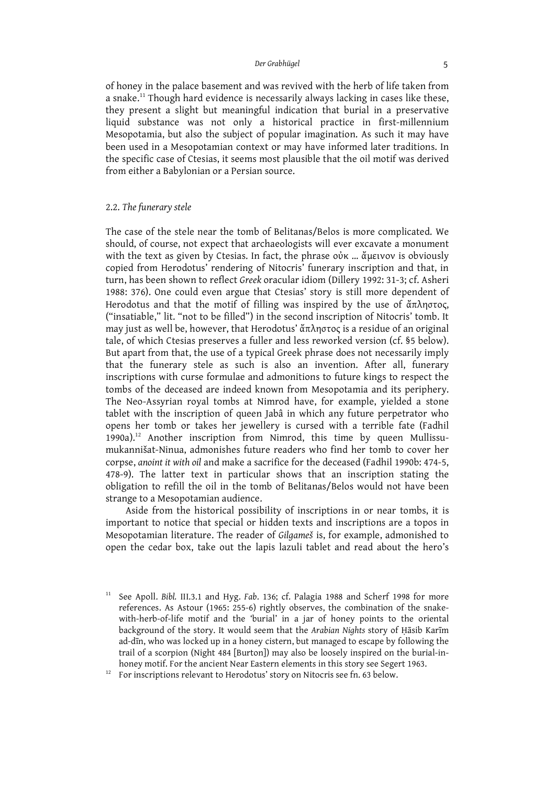of honey in the palace basement and was revived with the herb of life taken from a snake.<sup>11</sup> Though hard evidence is necessarily always lacking in cases like these, they present a slight but meaningful indication that burial in a preservative liquid substance was not only a historical practice in first-millennium Mesopotamia, but also the subject of popular imagination. As such it may have been used in a Mesopotamian context or may have informed later traditions. In the specific case of Ctesias, it seems most plausible that the oil motif was derived from either a Babylonian or a Persian source.

## 2.2. *The funerary stele*

The case of the stele near the tomb of Belitanas/Belos is more complicated. We should, of course, not expect that archaeologists will ever excavate a monument with the text as given by Ctesias. In fact, the phrase οὐκ … ἄμεινον is obviously copied from Herodotus' rendering of Nitocris' funerary inscription and that, in turn, has been shown to reflect *Greek* oracular idiom (Dillery 1992: 31-3; cf. Asheri 1988: 376). One could even argue that Ctesias' story is still more dependent of Herodotus and that the motif of filling was inspired by the use of ἄπληστος, ("insatiable," lit. "not to be filled") in the second inscription of Nitocris' tomb. It may just as well be, however, that Herodotus' ἄπληστος is a residue of an original tale, of which Ctesias preserves a fuller and less reworked version (cf. §5 below). But apart from that, the use of a typical Greek phrase does not necessarily imply that the funerary stele as such is also an invention. After all, funerary inscriptions with curse formulae and admonitions to future kings to respect the tombs of the deceased are indeed known from Mesopotamia and its periphery. The Neo-Assyrian royal tombs at Nimrod have, for example, yielded a stone tablet with the inscription of queen Jabâ in which any future perpetrator who opens her tomb or takes her jewellery is cursed with a terrible fate (Fadhil 1990a).<sup>12</sup> Another inscription from Nimrod, this time by queen Mullissumukannišat-Ninua, admonishes future readers who find her tomb to cover her corpse, *anoint it with oil* and make a sacrifice for the deceased (Fadhil 1990b: 474-5, 478-9). The latter text in particular shows that an inscription stating the obligation to refill the oil in the tomb of Belitanas/Belos would not have been strange to a Mesopotamian audience.

Aside from the historical possibility of inscriptions in or near tombs, it is important to notice that special or hidden texts and inscriptions are a topos in Mesopotamian literature. The reader of *Gilgameš* is, for example, admonished to open the cedar box, take out the lapis lazuli tablet and read about the hero's

<sup>&</sup>lt;sup>11</sup> See Apoll. *Bibl.* III.3.1 and Hyg. *Fab.* 136; cf. Palagia 1988 and Scherf 1998 for more references. As Astour (1965: 255-6) rightly observes, the combination of the snakewith-herb-of-life motif and the 'burial' in a jar of honey points to the oriental background of the story. It would seem that the *Arabian Nights* story of Ḥāsib Karīm ad-dīn, who was locked up in a honey cistern, but managed to escape by following the trail of a scorpion (Night 484 [Burton]) may also be loosely inspired on the burial-inhoney motif. For the ancient Near Eastern elements in this story see Segert 1963.

<sup>&</sup>lt;sup>12</sup> For inscriptions relevant to Herodotus' story on Nitocris see fn. 63 below.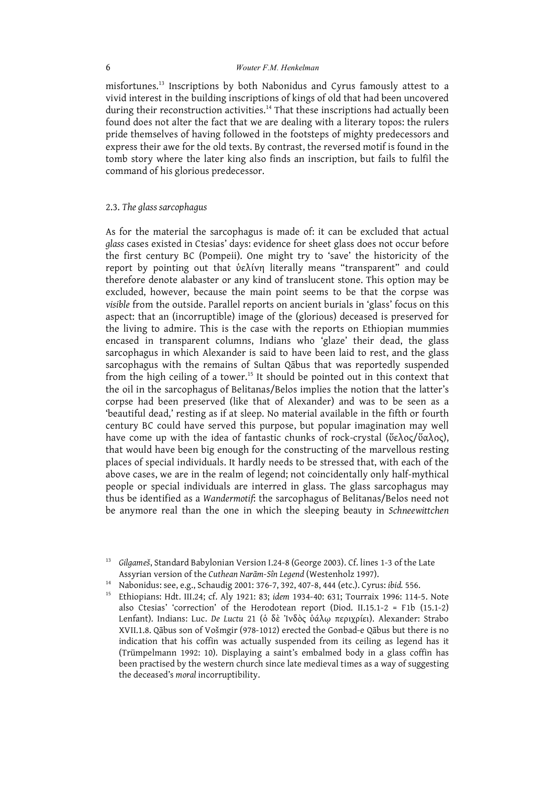misfortunes. <sup>13</sup> Inscriptions by both Nabonidus and Cyrus famously attest to a vivid interest in the building inscriptions of kings of old that had been uncovered during their reconstruction activities. <sup>14</sup> That these inscriptions had actually been found does not alter the fact that we are dealing with a literary topos: the rulers pride themselves of having followed in the footsteps of mighty predecessors and express their awe for the old texts. By contrast, the reversed motif is found in the tomb story where the later king also finds an inscription, but fails to fulfil the command of his glorious predecessor.

## 2.3. *The glass sarcophagus*

As for the material the sarcophagus is made of: it can be excluded that actual *glass* cases existed in Ctesias' days: evidence for sheet glass does not occur before the first century BC (Pompeii). One might try to 'save' the historicity of the report by pointing out that ὑελίνη literally means "transparent" and could therefore denote alabaster or any kind of translucent stone. This option may be excluded, however, because the main point seems to be that the corpse was *visible* from the outside. Parallel reports on ancient burials in 'glass' focus on this aspect: that an (incorruptible) image of the (glorious) deceased is preserved for the living to admire. This is the case with the reports on Ethiopian mummies encased in transparent columns, Indians who 'glaze' their dead, the glass sarcophagus in which Alexander is said to have been laid to rest, and the glass sarcophagus with the remains of Sultan Qābus that was reportedly suspended from the high ceiling of a tower.<sup>15</sup> It should be pointed out in this context that the oil in the sarcophagus of Belitanas/Belos implies the notion that the latter's corpse had been preserved (like that of Alexander) and was to be seen as a 'beautiful dead,' resting as if at sleep. No material available in the fifth or fourth century BC could have served this purpose, but popular imagination may well have come up with the idea of fantastic chunks of rock-crystal (ὕελος/ὕαλος), that would have been big enough for the constructing of the marvellous resting places of special individuals. It hardly needs to be stressed that, with each of the above cases, we are in the realm of legend; not coincidentally only half-mythical people or special individuals are interred in glass. The glass sarcophagus may thus be identified as a *Wandermotif*: the sarcophagus of Belitanas/Belos need not be anymore real than the one in which the sleeping beauty in *Schneewittchen*

<sup>13</sup> *Gilgameš*, Standard Babylonian Version I.24-8 (George 2003). Cf. lines 1-3 of the Late Assyrian version of the *Cuthean Narām-Sîn Legend* (Westenholz 1997).

<sup>14</sup> Nabonidus: see, e.g., Schaudig 2001: 376-7, 392, 407-8, 444 (etc.). Cyrus: *ibid.* 556.

<sup>15</sup> Ethiopians: Hdt. III.24; cf. Aly 1921: 83; *idem* 1934-40: 631; Tourraix 1996: 114-5. Note also Ctesias' 'correction' of the Herodotean report (Diod. II.15.1-2 = F1b (15.1-2) Lenfant). Indians: Luc. *De Luctu* 21 (ὁ δὲ Ἰνδὸς ὑάλῳ περιχρίει). Alexander: Strabo XVII.1.8. Qābus son of Vošmgir (978-1012) erected the Gonbad-e Qābus but there is no indication that his coffin was actually suspended from its ceiling as legend has it (Trümpelmann 1992: 10). Displaying a saint's embalmed body in a glass coffin has been practised by the western church since late medieval times as a way of suggesting the deceased's *moral* incorruptibility.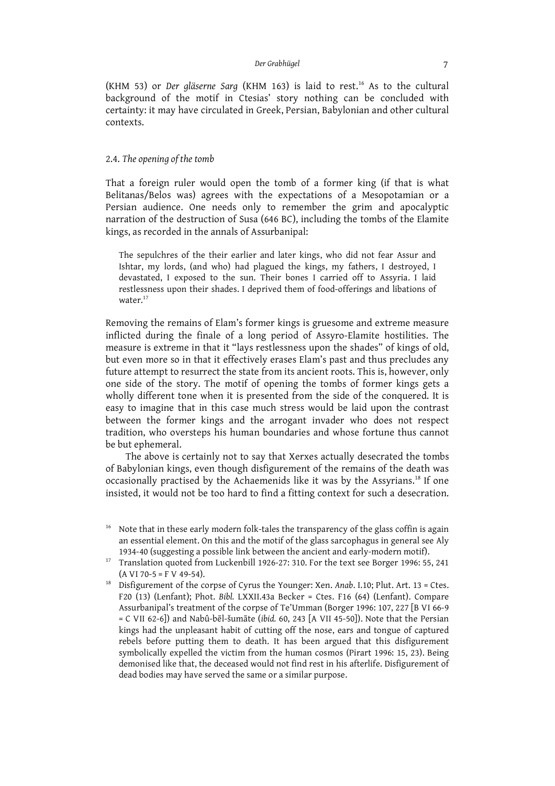(KHM 53) or *Der gläserne Sarg* (KHM 163) is laid to rest. <sup>16</sup> As to the cultural background of the motif in Ctesias' story nothing can be concluded with certainty: it may have circulated in Greek, Persian, Babylonian and other cultural contexts.

# 2.4. *The opening of the tomb*

That a foreign ruler would open the tomb of a former king (if that is what Belitanas/Belos was) agrees with the expectations of a Mesopotamian or a Persian audience. One needs only to remember the grim and apocalyptic narration of the destruction of Susa (646 BC), including the tombs of the Elamite kings, as recorded in the annals of Assurbanipal:

The sepulchres of the their earlier and later kings, who did not fear Assur and Ishtar, my lords, (and who) had plagued the kings, my fathers, I destroyed, I devastated, I exposed to the sun. Their bones I carried off to Assyria. I laid restlessness upon their shades. I deprived them of food-offerings and libations of water.<sup>17</sup>

Removing the remains of Elam's former kings is gruesome and extreme measure inflicted during the finale of a long period of Assyro-Elamite hostilities. The measure is extreme in that it "lays restlessness upon the shades" of kings of old, but even more so in that it effectively erases Elam's past and thus precludes any future attempt to resurrect the state from its ancient roots. This is, however, only one side of the story. The motif of opening the tombs of former kings gets a wholly different tone when it is presented from the side of the conquered. It is easy to imagine that in this case much stress would be laid upon the contrast between the former kings and the arrogant invader who does not respect tradition, who oversteps his human boundaries and whose fortune thus cannot be but ephemeral.

The above is certainly not to say that Xerxes actually desecrated the tombs of Babylonian kings, even though disfigurement of the remains of the death was occasionally practised by the Achaemenids like it was by the Assyrians. <sup>18</sup> If one insisted, it would not be too hard to find a fitting context for such a desecration.

<sup>&</sup>lt;sup>16</sup> Note that in these early modern folk-tales the transparency of the glass coffin is again an essential element. On this and the motif of the glass sarcophagus in general see Aly 1934-40 (suggesting a possible link between the ancient and early-modern motif).

<sup>&</sup>lt;sup>17</sup> Translation quoted from Luckenbill 1926-27: 310. For the text see Borger 1996: 55, 241  $(A VI 70-5 = F V 49-54).$ 

<sup>18</sup> Disfigurement of the corpse of Cyrus the Younger: Xen. *Anab*. I.10; Plut. Art. 13 = Ctes. F20 (13) (Lenfant); Phot. *Bibl.* LXXII.43a Becker = Ctes. F16 (64) (Lenfant). Compare Assurbanipal's treatment of the corpse of Te'Umman (Borger 1996: 107, 227 [B VI 66-9 = C VII 62-6]) and Nabû-bēl-šumāte (*ibid.* 60, 243 [A VII 45-50]). Note that the Persian kings had the unpleasant habit of cutting off the nose, ears and tongue of captured rebels before putting them to death. It has been argued that this disfigurement symbolically expelled the victim from the human cosmos (Pirart 1996: 15, 23). Being demonised like that, the deceased would not find rest in his afterlife. Disfigurement of dead bodies may have served the same or a similar purpose.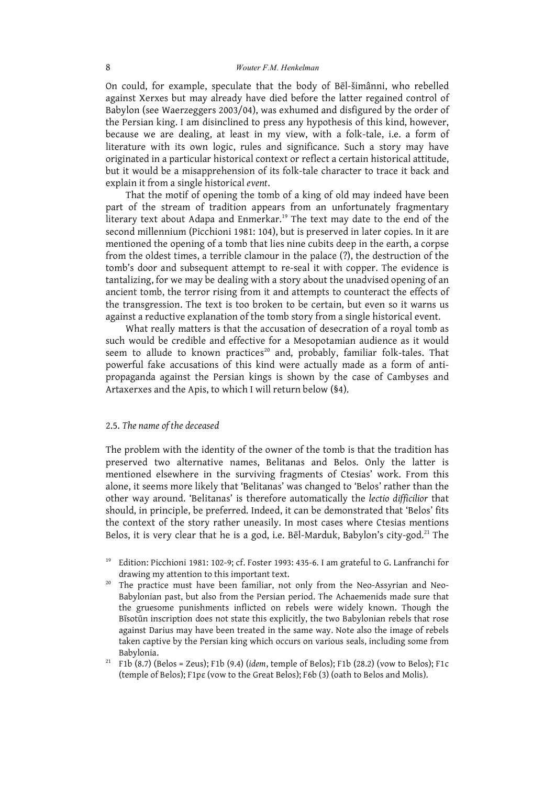On could, for example, speculate that the body of Bēl-šimânni, who rebelled against Xerxes but may already have died before the latter regained control of Babylon (see Waerzeggers 2003/04), was exhumed and disfigured by the order of the Persian king. I am disinclined to press any hypothesis of this kind, however, because we are dealing, at least in my view, with a folk-tale, i.e. a form of literature with its own logic, rules and significance. Such a story may have originated in a particular historical context or reflect a certain historical attitude, but it would be a misapprehension of its folk-tale character to trace it back and explain it from a single historical *event*.

That the motif of opening the tomb of a king of old may indeed have been part of the stream of tradition appears from an unfortunately fragmentary literary text about Adapa and Enmerkar. <sup>19</sup> The text may date to the end of the second millennium (Picchioni 1981: 104), but is preserved in later copies. In it are mentioned the opening of a tomb that lies nine cubits deep in the earth, a corpse from the oldest times, a terrible clamour in the palace (?), the destruction of the tomb's door and subsequent attempt to re-seal it with copper. The evidence is tantalizing, for we may be dealing with a story about the unadvised opening of an ancient tomb, the terror rising from it and attempts to counteract the effects of the transgression. The text is too broken to be certain, but even so it warns us against a reductive explanation of the tomb story from a single historical event.

What really matters is that the accusation of desecration of a royal tomb as such would be credible and effective for a Mesopotamian audience as it would seem to allude to known practices<sup>20</sup> and, probably, familiar folk-tales. That powerful fake accusations of this kind were actually made as a form of antipropaganda against the Persian kings is shown by the case of Cambyses and Artaxerxes and the Apis, to which I will return below (§4).

# 2.5. *The name of the deceased*

The problem with the identity of the owner of the tomb is that the tradition has preserved two alternative names, Belitanas and Belos. Only the latter is mentioned elsewhere in the surviving fragments of Ctesias' work. From this alone, it seems more likely that 'Belitanas' was changed to 'Belos' rather than the other way around. 'Belitanas' is therefore automatically the *lectio difficilior* that should, in principle, be preferred. Indeed, it can be demonstrated that 'Belos' fits the context of the story rather uneasily. In most cases where Ctesias mentions Belos, it is very clear that he is a god, i.e. Bēl-Marduk, Babylon's city-god.<sup>21</sup> The

- <sup>19</sup> Edition: Picchioni 1981: 102-9; cf. Foster 1993: 435-6. I am grateful to G. Lanfranchi for drawing my attention to this important text.
- <sup>20</sup> The practice must have been familiar, not only from the Neo-Assyrian and Neo-Babylonian past, but also from the Persian period. The Achaemenids made sure that the gruesome punishments inflicted on rebels were widely known. Though the Bīsotūn inscription does not state this explicitly, the two Babylonian rebels that rose against Darius may have been treated in the same way. Note also the image of rebels taken captive by the Persian king which occurs on various seals, including some from Babylonia.
- <sup>21</sup> F1b (8.7) (Belos = Zeus); F1b (9.4) (*idem*, temple of Belos); F1b (28.2) (vow to Belos); F1c (temple of Belos); F1pε (vow to the Great Belos); F6b (3) (oath to Belos and Molis).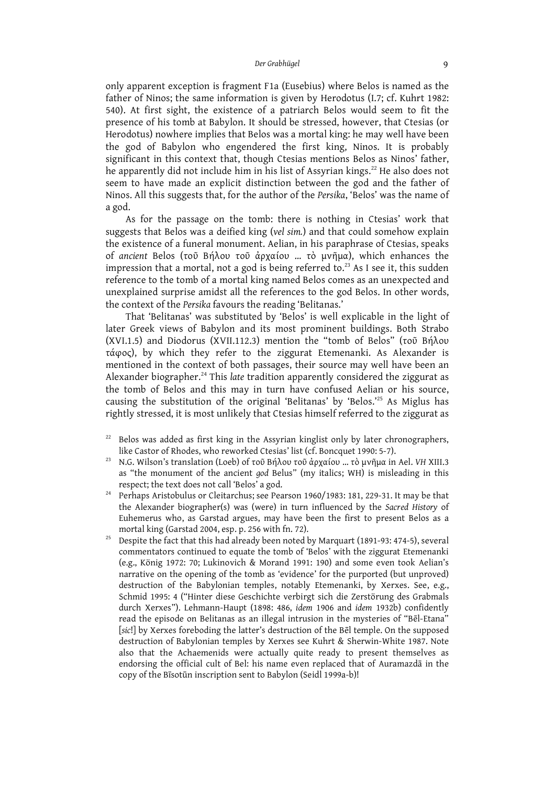only apparent exception is fragment F1a (Eusebius) where Belos is named as the father of Ninos; the same information is given by Herodotus (I.7; cf. Kuhrt 1982: 540). At first sight, the existence of a patriarch Belos would seem to fit the presence of his tomb at Babylon. It should be stressed, however, that Ctesias (or Herodotus) nowhere implies that Belos was a mortal king: he may well have been the god of Babylon who engendered the first king, Ninos. It is probably significant in this context that, though Ctesias mentions Belos as Ninos' father, he apparently did not include him in his list of Assyrian kings.<sup>22</sup> He also does not seem to have made an explicit distinction between the god and the father of Ninos. All this suggests that, for the author of the *Persika*, 'Belos' was the name of a god.

As for the passage on the tomb: there is nothing in Ctesias' work that suggests that Belos was a deified king (*vel sim.*) and that could somehow explain the existence of a funeral monument. Aelian, in his paraphrase of Ctesias, speaks of *ancient* Belos (τοῦ Βήλου τοῦ ἀρχαίου … τὸ μνῆμα), which enhances the impression that a mortal, not a god is being referred to. $^{23}$  As I see it, this sudden reference to the tomb of a mortal king named Belos comes as an unexpected and unexplained surprise amidst all the references to the god Belos. In other words, the context of the *Persika* favours the reading 'Belitanas.'

That 'Belitanas' was substituted by 'Belos' is well explicable in the light of later Greek views of Babylon and its most prominent buildings. Both Strabo (XVI.1.5) and Diodorus (XVII.112.3) mention the "tomb of Belos" (τοῦ Βήλου τάφος), by which they refer to the ziggurat Etemenanki. As Alexander is mentioned in the context of both passages, their source may well have been an Alexander biographer. <sup>24</sup> This *late* tradition apparently considered the ziggurat as the tomb of Belos and this may in turn have confused Aelian or his source, causing the substitution of the original 'Belitanas' by 'Belos.' <sup>25</sup> As Miglus has rightly stressed, it is most unlikely that Ctesias himself referred to the ziggurat as

- Belos was added as first king in the Assyrian kinglist only by later chronographers, like Castor of Rhodes, who reworked Ctesias' list (cf. Boncquet 1990: 5-7).
- <sup>23</sup> N.G. Wilson's translation (Loeb) of τοῦ Βήλου τοῦ ἀρχαίου … τὸ μνῆμα in Ael. *VH* XIII.3 as "the monument of the ancient *god* Belus" (my italics; WH) is misleading in this respect; the text does not call 'Belos' a god.
- <sup>24</sup> Perhaps Aristobulus or Cleitarchus; see Pearson 1960/1983: 181, 229-31. It may be that the Alexander biographer(s) was (were) in turn influenced by the *Sacred History* of Euhemerus who, as Garstad argues, may have been the first to present Belos as a mortal king (Garstad 2004, esp. p. 256 with fn. 72).
- <sup>25</sup> Despite the fact that this had already been noted by Marquart (1891-93: 474-5), several commentators continued to equate the tomb of 'Belos' with the ziggurat Etemenanki (e.g., König 1972: 70; Lukinovich & Morand 1991: 190) and some even took Aelian's narrative on the opening of the tomb as 'evidence' for the purported (but unproved) destruction of the Babylonian temples, notably Etemenanki, by Xerxes. See, e.g., Schmid 1995: 4 ("Hinter diese Geschichte verbirgt sich die Zerstörung des Grabmals durch Xerxes"). Lehmann-Haupt (1898: 486, *idem* 1906 and *idem* 1932b) confidently read the episode on Belitanas as an illegal intrusion in the mysteries of "Bēl-Etana" [*sic*!] by Xerxes foreboding the latter's destruction of the Bēl temple. On the supposed destruction of Babylonian temples by Xerxes see Kuhrt & Sherwin-White 1987. Note also that the Achaemenids were actually quite ready to present themselves as endorsing the official cult of Bel: his name even replaced that of Auramazdā in the copy of the Bīsotūn inscription sent to Babylon (Seidl 1999a-b)!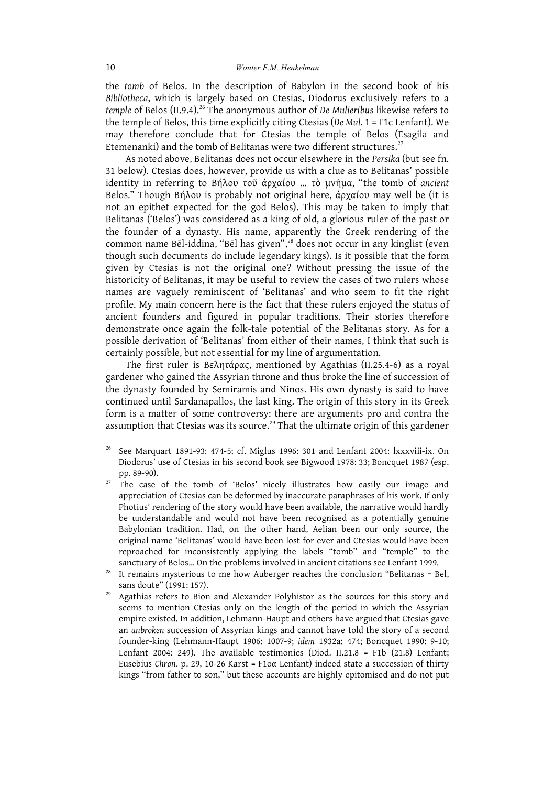the *tomb* of Belos. In the description of Babylon in the second book of his *Bibliotheca*, which is largely based on Ctesias, Diodorus exclusively refers to a *temple* of Belos (II.9.4). <sup>26</sup> The anonymous author of *De Mulieribus* likewise refers to the temple of Belos, this time explicitly citing Ctesias (*De Mul.* 1 = F1c Lenfant). We may therefore conclude that for Ctesias the temple of Belos (Esagila and Etemenanki) and the tomb of Belitanas were two different structures. $^{27}$ 

As noted above, Belitanas does not occur elsewhere in the *Persika* (but see fn. 31 below). Ctesias does, however, provide us with a clue as to Belitanas' possible identity in referring to Βήλου τοῦ ἀρχαίου … τὸ μνῆμα, "the tomb of *ancient* Belos." Though Βήλου is probably not original here, ἀρχαίου may well be (it is not an epithet expected for the god Belos). This may be taken to imply that Belitanas ('Belos') was considered as a king of old, a glorious ruler of the past or the founder of a dynasty. His name, apparently the Greek rendering of the common name Bēl-iddina, "Bēl has given", <sup>28</sup> does not occur in any kinglist (even though such documents do include legendary kings). Is it possible that the form given by Ctesias is not the original one? Without pressing the issue of the historicity of Belitanas, it may be useful to review the cases of two rulers whose names are vaguely reminiscent of 'Belitanas' and who seem to fit the right profile. My main concern here is the fact that these rulers enjoyed the status of ancient founders and figured in popular traditions. Their stories therefore demonstrate once again the folk-tale potential of the Belitanas story. As for a possible derivation of 'Belitanas' from either of their names, I think that such is certainly possible, but not essential for my line of argumentation.

The first ruler is Βελητάρας, mentioned by Agathias (II.25.4-6) as a royal gardener who gained the Assyrian throne and thus broke the line of succession of the dynasty founded by Semiramis and Ninos. His own dynasty is said to have continued until Sardanapallos, the last king. The origin of this story in its Greek form is a matter of some controversy: there are arguments pro and contra the assumption that Ctesias was its source.<sup>29</sup> That the ultimate origin of this gardener

- <sup>26</sup> See Marquart 1891-93: 474-5; cf. Miglus 1996: 301 and Lenfant 2004: lxxxviii-ix. On Diodorus' use of Ctesias in his second book see Bigwood 1978: 33; Boncquet 1987 (esp. pp. 89-90).
- $27$  The case of the tomb of 'Belos' nicely illustrates how easily our image and appreciation of Ctesias can be deformed by inaccurate paraphrases of his work. If only Photius' rendering of the story would have been available, the narrative would hardly be understandable and would not have been recognised as a potentially genuine Babylonian tradition. Had, on the other hand, Aelian been our only source, the original name 'Belitanas' would have been lost for ever and Ctesias would have been reproached for inconsistently applying the labels "tomb" and "temple" to the sanctuary of Belos… On the problems involved in ancient citations see Lenfant 1999.
- <sup>28</sup> It remains mysterious to me how Auberger reaches the conclusion "Belitanas = Bel, sans doute" (1991: 157).
- <sup>29</sup> Agathias refers to Bion and Alexander Polyhistor as the sources for this story and seems to mention Ctesias only on the length of the period in which the Assyrian empire existed. In addition, Lehmann-Haupt and others have argued that Ctesias gave an *unbroken* succession of Assyrian kings and cannot have told the story of a second founder-king (Lehmann-Haupt 1906: 1007-9; *idem* 1932a: 474; Boncquet 1990: 9-10; Lenfant 2004: 249). The available testimonies (Diod. II.21.8 = F1b (21.8) Lenfant; Eusebius *Chron*. p. 29, 10-26 Karst = F1oα Lenfant) indeed state a succession of thirty kings "from father to son," but these accounts are highly epitomised and do not put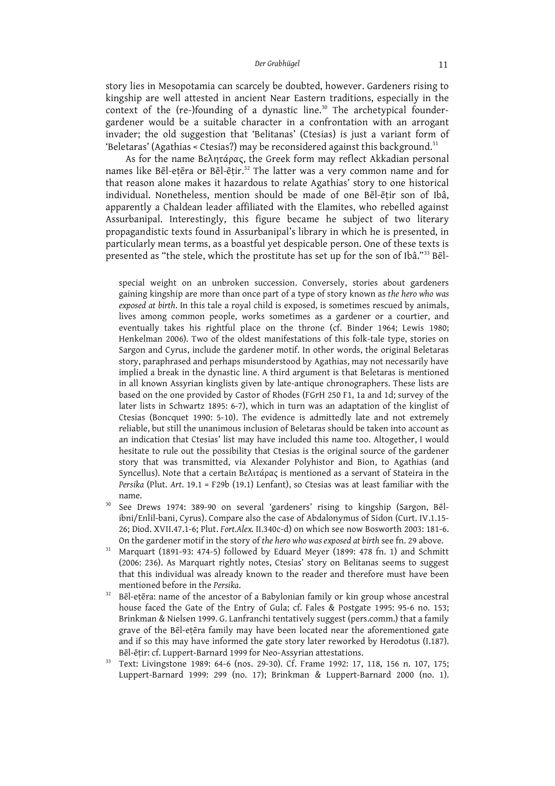story lies in Mesopotamia can scarcely be doubted, however. Gardeners rising to kingship are well attested in ancient Near Eastern traditions, especially in the context of the (re-)founding of a dynastic line.<sup>30</sup> The archetypical foundergardener would be a suitable character in a confrontation with an arrogant invader; the old suggestion that 'Belitanas' (Ctesias) is just a variant form of 'Beletaras' (Agathias < Ctesias?) may be reconsidered against this background. $^{\rm 31}$ 

As for the name Βελητάρας, the Greek form may reflect Akkadian personal names like Bēl-eṭēra or Bēl-ēṭir. <sup>32</sup> The latter was a very common name and for that reason alone makes it hazardous to relate Agathias' story to one historical individual. Nonetheless, mention should be made of one Bēl-ēṭir son of Ibâ, apparently a Chaldean leader affiliated with the Elamites, who rebelled against Assurbanipal. Interestingly, this figure became he subject of two literary propagandistic texts found in Assurbanipal's library in which he is presented, in particularly mean terms, as a boastful yet despicable person. One of these texts is presented as "the stele, which the prostitute has set up for the son of Ibâ."<sup>33</sup> Bēl-

special weight on an unbroken succession. Conversely, stories about gardeners gaining kingship are more than once part of a type of story known as *the hero who was exposed at birth*. In this tale a royal child is exposed, is sometimes rescued by animals, lives among common people, works sometimes as a gardener or a courtier, and eventually takes his rightful place on the throne (cf. Binder 1964; Lewis 1980; Henkelman 2006). Two of the oldest manifestations of this folk-tale type, stories on Sargon and Cyrus, include the gardener motif. In other words, the original Beletaras story, paraphrased and perhaps misunderstood by Agathias, may not necessarily have implied a break in the dynastic line. A third argument is that Beletaras is mentioned in all known Assyrian kinglists given by late-antique chronographers. These lists are based on the one provided by Castor of Rhodes (FGrH 250 F1, 1a and 1d; survey of the later lists in Schwartz 1895: 6-7), which in turn was an adaptation of the kinglist of Ctesias (Boncquet 1990: 5-10). The evidence is admittedly late and not extremely reliable, but still the unanimous inclusion of Beletaras should be taken into account as an indication that Ctesias' list may have included this name too. Altogether, I would hesitate to rule out the possibility that Ctesias is the original source of the gardener story that was transmitted, via Alexander Polyhistor and Bion, to Agathias (and Syncellus). Note that a certain Βελιτάρας is mentioned as a servant of Stateira in the *Persika* (Plut. *Art*. 19.1 = F29b (19.1) Lenfant), so Ctesias was at least familiar with the name.

- <sup>30</sup> See Drews 1974: 389-90 on several 'gardeners' rising to kingship (Sargon, Bēlibni/Enlil-bani, Cyrus). Compare also the case of Abdalonymus of Sidon (Curt. IV.1.15- 26; Diod. XVII.47.1-6; Plut. *Fort.Alex.* II.340c-d) on which see now Bosworth 2003: 181-6. On the gardener motif in the story of *the hero who wasexposed at birth* see fn. 29 above.
- <sup>31</sup> Marquart (1891-93: 474-5) followed by Eduard Meyer (1899: 478 fn. 1) and Schmitt (2006: 236). As Marquart rightly notes, Ctesias' story on Belitanas seems to suggest that this individual was already known to the reader and therefore must have been mentioned before in the *Persika*.
- <sup>32</sup> Bēl-eṭēra: name of the ancestor of a Babylonian family or kin group whose ancestral house faced the Gate of the Entry of Gula; cf. Fales & Postgate 1995: 95-6 no. 153; Brinkman & Nielsen 1999. G. Lanfranchi tentatively suggest (pers.comm.) that a family grave of the Bēl-eṭēra family may have been located near the aforementioned gate and if so this may have informed the gate story later reworked by Herodotus (I.187). Bēl-ēṭir: cf. Luppert-Barnard 1999 for Neo-Assyrian attestations.
- <sup>33</sup> Text: Livingstone 1989: 64-6 (nos. 29-30). Cf. Frame 1992: 17, 118, 156 n. 107, 175; Luppert-Barnard 1999: 299 (no. 17); Brinkman & Luppert-Barnard 2000 (no. 1).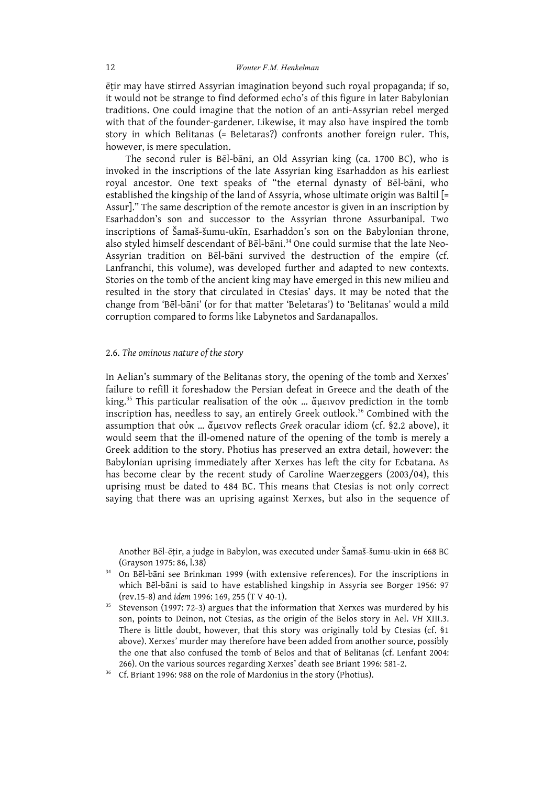ēṭir may have stirred Assyrian imagination beyond such royal propaganda; if so, it would not be strange to find deformed echo's of this figure in later Babylonian traditions. One could imagine that the notion of an anti-Assyrian rebel merged with that of the founder-gardener. Likewise, it may also have inspired the tomb story in which Belitanas (= Beletaras?) confronts another foreign ruler. This, however, is mere speculation.

The second ruler is Bēl-bāni, an Old Assyrian king (ca. 1700 BC), who is invoked in the inscriptions of the late Assyrian king Esarhaddon as his earliest royal ancestor. One text speaks of "the eternal dynasty of Bēl-bāni, who established the kingship of the land of Assyria, whose ultimate origin was Baltil [= Assur]." The same description of the remote ancestor is given in an inscription by Esarhaddon's son and successor to the Assyrian throne Assurbanipal. Two inscriptions of Šamaš-šumu-ukīn, Esarhaddon's son on the Babylonian throne, also styled himself descendant of Bēl-bāni. <sup>34</sup> One could surmise that the late Neo-Assyrian tradition on Bēl-bāni survived the destruction of the empire (cf. Lanfranchi, this volume), was developed further and adapted to new contexts. Stories on the tomb of the ancient king may have emerged in this new milieu and resulted in the story that circulated in Ctesias' days. It may be noted that the change from 'Bēl-bāni' (or for that matter 'Beletaras') to 'Belitanas' would a mild corruption compared to forms like Labynetos and Sardanapallos.

## 2.6. *The ominous nature of the story*

In Aelian's summary of the Belitanas story, the opening of the tomb and Xerxes' failure to refill it foreshadow the Persian defeat in Greece and the death of the king. <sup>35</sup> This particular realisation of the οὐκ … ἄμεινον prediction in the tomb inscription has, needless to say, an entirely Greek outlook. <sup>36</sup> Combined with the assumption that οὐκ … ἄμεινον reflects *Greek* oracular idiom (cf. §2.2 above), it would seem that the ill-omened nature of the opening of the tomb is merely a Greek addition to the story. Photius has preserved an extra detail, however: the Babylonian uprising immediately after Xerxes has left the city for Ecbatana. As has become clear by the recent study of Caroline Waerzeggers (2003/04), this uprising must be dated to 484 BC. This means that Ctesias is not only correct saying that there was an uprising against Xerxes, but also in the sequence of

Another Bēl-ēṭir, a judge in Babylon, was executed under Šamaš-šumu-ukin in 668 BC (Grayson 1975: 86, l.38)

- <sup>34</sup> On Bēl-bāni see Brinkman 1999 (with extensive references). For the inscriptions in which Bēl-bāni is said to have established kingship in Assyria see Borger 1956: 97 (rev.15-8) and *idem* 1996: 169, 255 (T V 40-1).
- <sup>35</sup> Stevenson (1997: 72-3) argues that the information that Xerxes was murdered by his son, points to Deinon, not Ctesias, as the origin of the Belos story in Ael. *VH* XIII.3. There is little doubt, however, that this story was originally told by Ctesias (cf. §1 above). Xerxes' murder may therefore have been added from another source, possibly the one that also confused the tomb of Belos and that of Belitanas (cf. Lenfant 2004: 266). On the various sources regarding Xerxes' death see Briant 1996: 581-2.

<sup>36</sup> Cf. Briant 1996: 988 on the role of Mardonius in the story (Photius).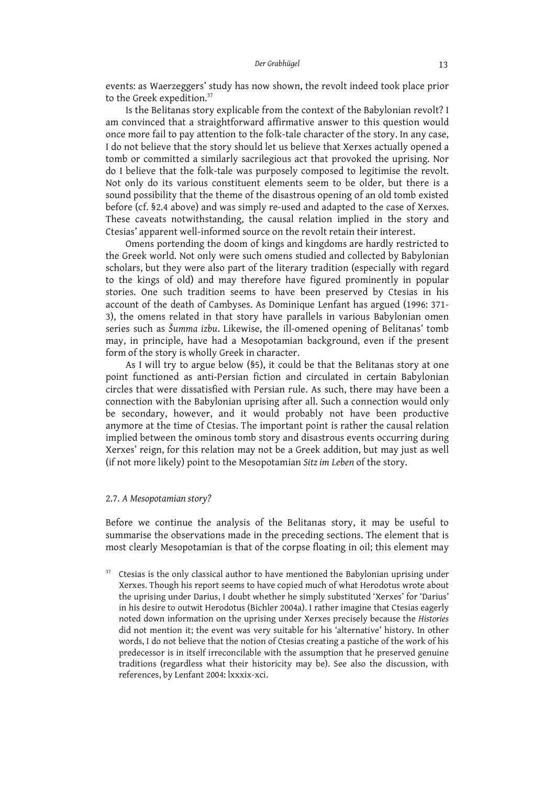events: as Waerzeggers' study has now shown, the revolt indeed took place prior to the Greek expedition.<sup>37</sup>

Is the Belitanas story explicable from the context of the Babylonian revolt? I am convinced that a straightforward affirmative answer to this question would once more fail to pay attention to the folk-tale character of the story. In any case, I do not believe that the story should let us believe that Xerxes actually opened a tomb or committed a similarly sacrilegious act that provoked the uprising. Nor do I believe that the folk-tale was purposely composed to legitimise the revolt. Not only do its various constituent elements seem to be older, but there is a sound possibility that the theme of the disastrous opening of an old tomb existed before (cf. §2.4 above) and was simply re-used and adapted to the case of Xerxes. These caveats notwithstanding, the causal relation implied in the story and Ctesias' apparent well-informed source on the revolt retain their interest.

Omens portending the doom of kings and kingdoms are hardly restricted to the Greek world. Not only were such omens studied and collected by Babylonian scholars, but they were also part of the literary tradition (especially with regard to the kings of old) and may therefore have figured prominently in popular stories. One such tradition seems to have been preserved by Ctesias in his account of the death of Cambyses. As Dominique Lenfant has argued (1996: 371- 3), the omens related in that story have parallels in various Babylonian omen series such as *Šumma izbu*. Likewise, the ill-omened opening of Belitanas' tomb may, in principle, have had a Mesopotamian background, even if the present form of the story is wholly Greek in character.

As I will try to argue below (§5), it could be that the Belitanas story at one point functioned as anti-Persian fiction and circulated in certain Babylonian circles that were dissatisfied with Persian rule. As such, there may have been a connection with the Babylonian uprising after all. Such a connection would only be secondary, however, and it would probably not have been productive anymore at the time of Ctesias. The important point is rather the causal relation implied between the ominous tomb story and disastrous events occurring during Xerxes' reign, for this relation may not be a Greek addition, but may just as well (if not more likely) point to the Mesopotamian *Sitz im Leben* of the story.

## 2.7. *A Mesopotamian story?*

Before we continue the analysis of the Belitanas story, it may be useful to summarise the observations made in the preceding sections. The element that is most clearly Mesopotamian is that of the corpse floating in oil; this element may

<sup>37</sup> Ctesias is the only classical author to have mentioned the Babylonian uprising under Xerxes. Though his report seems to have copied much of what Herodotus wrote about the uprising under Darius, I doubt whether he simply substituted 'Xerxes' for 'Darius' in his desire to outwit Herodotus (Bichler 2004a). I rather imagine that Ctesias eagerly noted down information on the uprising under Xerxes precisely because the *Histories* did not mention it; the event was very suitable for his 'alternative' history. In other words, I do not believe that the notion of Ctesias creating a pastiche of the work of his predecessor is in itself irreconcilable with the assumption that he preserved genuine traditions (regardless what their historicity may be). See also the discussion, with references, by Lenfant 2004: lxxxix-xci.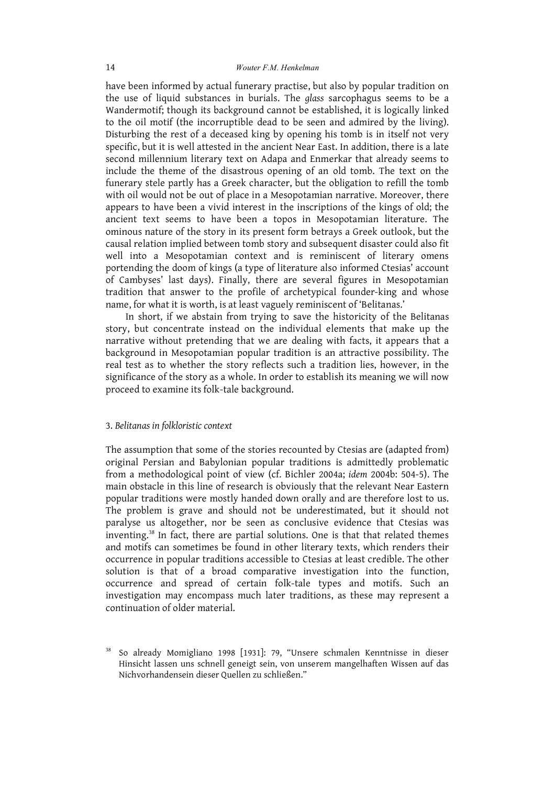have been informed by actual funerary practise, but also by popular tradition on the use of liquid substances in burials. The *glass* sarcophagus seems to be a Wandermotif; though its background cannot be established, it is logically linked to the oil motif (the incorruptible dead to be seen and admired by the living). Disturbing the rest of a deceased king by opening his tomb is in itself not very specific, but it is well attested in the ancient Near East. In addition, there is a late second millennium literary text on Adapa and Enmerkar that already seems to include the theme of the disastrous opening of an old tomb. The text on the funerary stele partly has a Greek character, but the obligation to refill the tomb with oil would not be out of place in a Mesopotamian narrative. Moreover, there appears to have been a vivid interest in the inscriptions of the kings of old; the ancient text seems to have been a topos in Mesopotamian literature. The ominous nature of the story in its present form betrays a Greek outlook, but the causal relation implied between tomb story and subsequent disaster could also fit well into a Mesopotamian context and is reminiscent of literary omens portending the doom of kings (a type of literature also informed Ctesias' account of Cambyses' last days). Finally, there are several figures in Mesopotamian tradition that answer to the profile of archetypical founder-king and whose name, for what it is worth, is at least vaguely reminiscent of 'Belitanas.'

In short, if we abstain from trying to save the historicity of the Belitanas story, but concentrate instead on the individual elements that make up the narrative without pretending that we are dealing with facts, it appears that a background in Mesopotamian popular tradition is an attractive possibility. The real test as to whether the story reflects such a tradition lies, however, in the significance of the story as a whole. In order to establish its meaning we will now proceed to examine its folk-tale background.

## 3. *Belitanas in folkloristic context*

The assumption that some of the stories recounted by Ctesias are (adapted from) original Persian and Babylonian popular traditions is admittedly problematic from a methodological point of view (cf. Bichler 2004a; *idem* 2004b: 504-5). The main obstacle in this line of research is obviously that the relevant Near Eastern popular traditions were mostly handed down orally and are therefore lost to us. The problem is grave and should not be underestimated, but it should not paralyse us altogether, nor be seen as conclusive evidence that Ctesias was inventing. <sup>38</sup> In fact, there are partial solutions. One is that that related themes and motifs can sometimes be found in other literary texts, which renders their occurrence in popular traditions accessible to Ctesias at least credible. The other solution is that of a broad comparative investigation into the function, occurrence and spread of certain folk-tale types and motifs. Such an investigation may encompass much later traditions, as these may represent a continuation of older material.

<sup>38</sup> So already Momigliano 1998 [1931]: 79, "Unsere schmalen Kenntnisse in dieser Hinsicht lassen uns schnell geneigt sein, von unserem mangelhaften Wissen auf das Nichvorhandensein dieser Quellen zu schließen."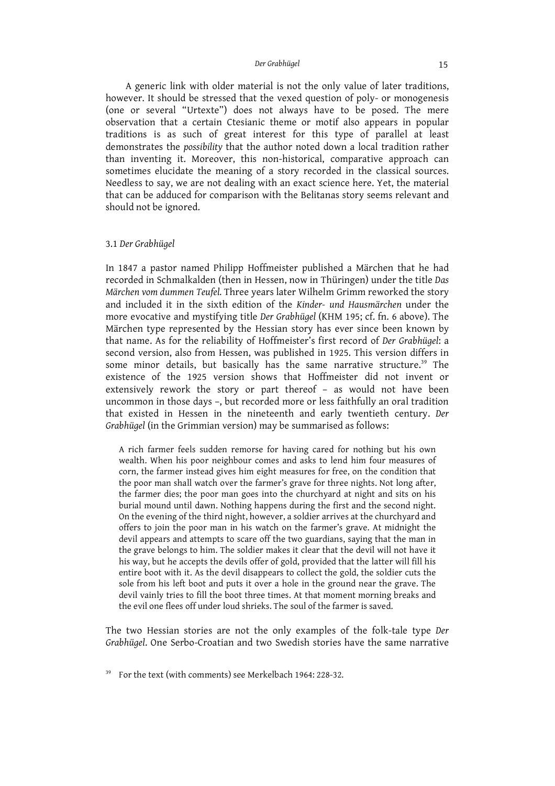A generic link with older material is not the only value of later traditions, however. It should be stressed that the vexed question of poly- or monogenesis (one or several "Urtexte") does not always have to be posed. The mere observation that a certain Ctesianic theme or motif also appears in popular traditions is as such of great interest for this type of parallel at least demonstrates the *possibility* that the author noted down a local tradition rather than inventing it. Moreover, this non-historical, comparative approach can sometimes elucidate the meaning of a story recorded in the classical sources. Needless to say, we are not dealing with an exact science here. Yet, the material that can be adduced for comparison with the Belitanas story seems relevant and should not be ignored.

## 3.1 *Der Grabhügel*

In 1847 a pastor named Philipp Hoffmeister published a Märchen that he had recorded in Schmalkalden (then in Hessen, now in Thüringen) under the title *Das Märchen vom dummen Teufel.* Three years later Wilhelm Grimm reworked the story and included it in the sixth edition of the *Kinder- und Hausmärchen* under the more evocative and mystifying title *Der Grabhügel* (KHM 195; cf. fn. 6 above). The Märchen type represented by the Hessian story has ever since been known by that name. As for the reliability of Hoffmeister's first record of *Der Grabhügel*: a second version, also from Hessen, was published in 1925. This version differs in some minor details, but basically has the same narrative structure. <sup>39</sup> The existence of the 1925 version shows that Hoffmeister did not invent or extensively rework the story or part thereof – as would not have been uncommon in those days –, but recorded more or less faithfully an oral tradition that existed in Hessen in the nineteenth and early twentieth century. *Der Grabhügel* (in the Grimmian version) may be summarised as follows:

A rich farmer feels sudden remorse for having cared for nothing but his own wealth. When his poor neighbour comes and asks to lend him four measures of corn, the farmer instead gives him eight measures for free, on the condition that the poor man shall watch over the farmer's grave for three nights. Not long after, the farmer dies; the poor man goes into the churchyard at night and sits on his burial mound until dawn. Nothing happens during the first and the second night. On the evening of the third night, however, a soldier arrives at the churchyard and offers to join the poor man in his watch on the farmer's grave. At midnight the devil appears and attempts to scare off the two guardians, saying that the man in the grave belongs to him. The soldier makes it clear that the devil will not have it his way, but he accepts the devils offer of gold, provided that the latter will fill his entire boot with it. As the devil disappears to collect the gold, the soldier cuts the sole from his left boot and puts it over a hole in the ground near the grave. The devil vainly tries to fill the boot three times. At that moment morning breaks and the evil one flees off under loud shrieks. The soul of the farmer is saved.

The two Hessian stories are not the only examples of the folk-tale type *Der Grabhügel*. One Serbo-Croatian and two Swedish stories have the same narrative

<sup>&</sup>lt;sup>39</sup> For the text (with comments) see Merkelbach 1964: 228-32.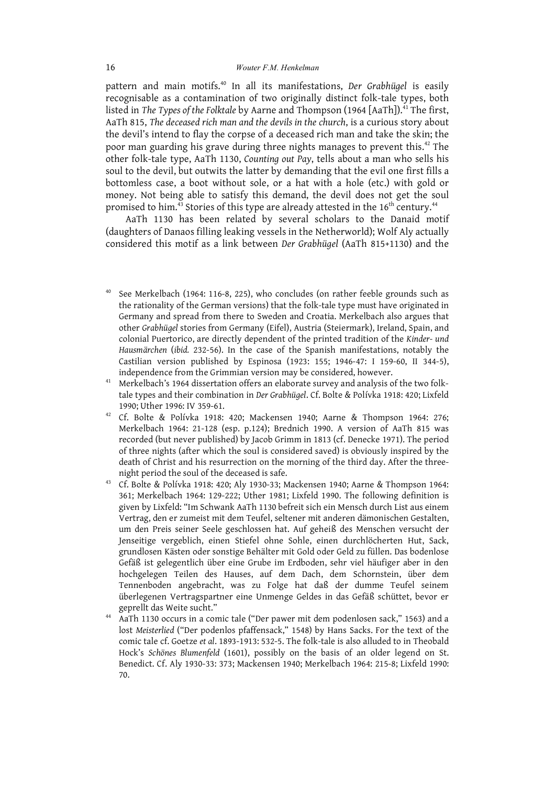pattern and main motifs. <sup>40</sup> In all its manifestations, *Der Grabhügel* is easily recognisable as a contamination of two originally distinct folk-tale types, both listed in *The Types of the Folktale* by Aarne and Thompson (1964 [AaTh]). <sup>41</sup> The first, AaTh 815, *The deceased rich man and the devils in the church*, is a curious story about the devil's intend to flay the corpse of a deceased rich man and take the skin; the poor man guarding his grave during three nights manages to prevent this. <sup>42</sup> The other folk-tale type, AaTh 1130, *Counting out Pay*, tells about a man who sells his soul to the devil, but outwits the latter by demanding that the evil one first fills a bottomless case, a boot without sole, or a hat with a hole (etc.) with gold or money. Not being able to satisfy this demand, the devil does not get the soul promised to him. $^{\rm 43}$  Stories of this type are already attested in the 16 $^{\rm th}$  century. $^{\rm 44}$ 

AaTh 1130 has been related by several scholars to the Danaid motif (daughters of Danaos filling leaking vessels in the Netherworld); Wolf Aly actually considered this motif as a link between *Der Grabhügel* (AaTh 815+1130) and the

- See Merkelbach (1964: 116-8, 225), who concludes (on rather feeble grounds such as the rationality of the German versions) that the folk-tale type must have originated in Germany and spread from there to Sweden and Croatia. Merkelbach also argues that other *Grabhügel* stories from Germany (Eifel), Austria (Steiermark), Ireland, Spain, and colonial Puertorico, are directly dependent of the printed tradition of the *Kinder- und Hausmärchen* (*ibid.* 232-56). In the case of the Spanish manifestations, notably the Castilian version published by Espinosa (1923: 155; 1946-47: I 159-60, II 344-5), independence from the Grimmian version may be considered, however.
- Merkelbach's 1964 dissertation offers an elaborate survey and analysis of the two folktale types and their combination in *Der Grabhügel*. Cf. Bolte & Polívka 1918: 420; Lixfeld 1990; Uther 1996: IV 359-61.
- <sup>42</sup> Cf. Bolte & Polívka 1918: 420; Mackensen 1940; Aarne & Thompson 1964: 276; Merkelbach 1964: 21-128 (esp. p.124); Brednich 1990. A version of AaTh 815 was recorded (but never published) by Jacob Grimm in 1813 (cf. Denecke 1971). The period of three nights (after which the soul is considered saved) is obviously inspired by the death of Christ and his resurrection on the morning of the third day. After the threenight period the soul of the deceased is safe.
- <sup>43</sup> Cf. Bolte & Polívka 1918: 420; Aly 1930-33; Mackensen 1940; Aarne & Thompson 1964: 361; Merkelbach 1964: 129-222; Uther 1981; Lixfeld 1990. The following definition is given by Lixfeld: "Im Schwank AaTh 1130 befreit sich ein Mensch durch List aus einem Vertrag, den er zumeist mit dem Teufel, seltener mit anderen dämonischen Gestalten, um den Preis seiner Seele geschlossen hat. Auf geheiß des Menschen versucht der Jenseitige vergeblich, einen Stiefel ohne Sohle, einen durchlöcherten Hut, Sack, grundlosen Kästen oder sonstige Behälter mit Gold oder Geld zu füllen. Das bodenlose Gefäß ist gelegentlich über eine Grube im Erdboden, sehr viel häufiger aber in den hochgelegen Teilen des Hauses, auf dem Dach, dem Schornstein, über dem Tennenboden angebracht, was zu Folge hat daß der dumme Teufel seinem überlegenen Vertragspartner eine Unmenge Geldes in das Gefäß schüttet, bevor er geprellt das Weite sucht."
- <sup>44</sup> AaTh 1130 occurs in a comic tale ("Der pawer mit dem podenlosen sack," 1563) and a lost *Meisterlied* ("Der podenlos pfaffensack," 1548) by Hans Sacks. For the text of the comic tale cf. Goetze *et al*. 1893-1913: 532-5. The folk-tale is also alluded to in Theobald Hock's *Schönes Blumenfeld* (1601), possibly on the basis of an older legend on St. Benedict. Cf. Aly 1930-33: 373; Mackensen 1940; Merkelbach 1964: 215-8; Lixfeld 1990: 70.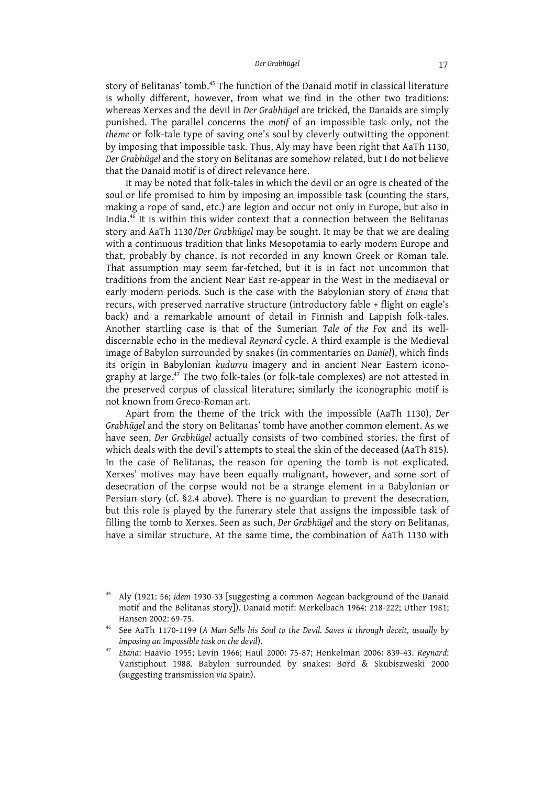story of Belitanas' tomb. <sup>45</sup> The function of the Danaid motif in classical literature is wholly different, however, from what we find in the other two traditions: whereas Xerxes and the devil in *Der Grabhügel* are tricked, the Danaids are simply punished. The parallel concerns the *motif* of an impossible task only, not the *theme* or folk-tale type of saving one's soul by cleverly outwitting the opponent by imposing that impossible task. Thus, Aly may have been right that AaTh 1130, *Der Grabhügel* and the story on Belitanas are somehow related, but I do not believe that the Danaid motif is of direct relevance here.

It may be noted that folk-tales in which the devil or an ogre is cheated of the soul or life promised to him by imposing an impossible task (counting the stars, making a rope of sand, etc.) are legion and occur not only in Europe, but also in India. <sup>46</sup> It is within this wider context that a connection between the Belitanas story and AaTh 1130/*Der Grabhügel* may be sought. It may be that we are dealing with a continuous tradition that links Mesopotamia to early modern Europe and that, probably by chance, is not recorded in any known Greek or Roman tale. That assumption may seem far-fetched, but it is in fact not uncommon that traditions from the ancient Near East re-appear in the West in the mediaeval or early modern periods. Such is the case with the Babylonian story of *Etana* that recurs, with preserved narrative structure (introductory fable + flight on eagle's back) and a remarkable amount of detail in Finnish and Lappish folk-tales. Another startling case is that of the Sumerian *Tale of the Fox* and its welldiscernable echo in the medieval *Reynard* cycle. A third example is the Medieval image of Babylon surrounded by snakes (in commentaries on *Daniel*), which finds its origin in Babylonian *kudurru* imagery and in ancient Near Eastern iconography at large. <sup>47</sup> The two folk-tales (or folk-tale complexes) are not attested in the preserved corpus of classical literature; similarly the iconographic motif is not known from Greco-Roman art.

Apart from the theme of the trick with the impossible (AaTh 1130), *Der Grabhügel* and the story on Belitanas' tomb have another common element. As we have seen, *Der Grabhügel* actually consists of two combined stories, the first of which deals with the devil's attempts to steal the skin of the deceased (AaTh 815). In the case of Belitanas, the reason for opening the tomb is not explicated. Xerxes' motives may have been equally malignant, however, and some sort of desecration of the corpse would not be a strange element in a Babylonian or Persian story (cf. §2.4 above). There is no guardian to prevent the desecration, but this role is played by the funerary stele that assigns the impossible task of filling the tomb to Xerxes. Seen as such, *Der Grabhügel* and the story on Belitanas, have a similar structure. At the same time, the combination of AaTh 1130 with

<sup>45</sup> Aly (1921: 56; *idem* 1930-33 [suggesting a common Aegean background of the Danaid motif and the Belitanas story]). Danaid motif: Merkelbach 1964: 218-222; Uther 1981; Hansen 2002: 69-75.

<sup>46</sup> See AaTh 1170-1199 (*A Man Sells his Soul to the Devil. Saves it through deceit, usually by imposing an impossibletask on the devil*).

<sup>47</sup> *Etana*: Haavio 1955; Levin 1966; Haul 2000: 75-87; Henkelman 2006: 839-43. *Reynard*: Vanstiphout 1988. Babylon surrounded by snakes: Bord & Skubiszweski 2000 (suggesting transmission *via* Spain).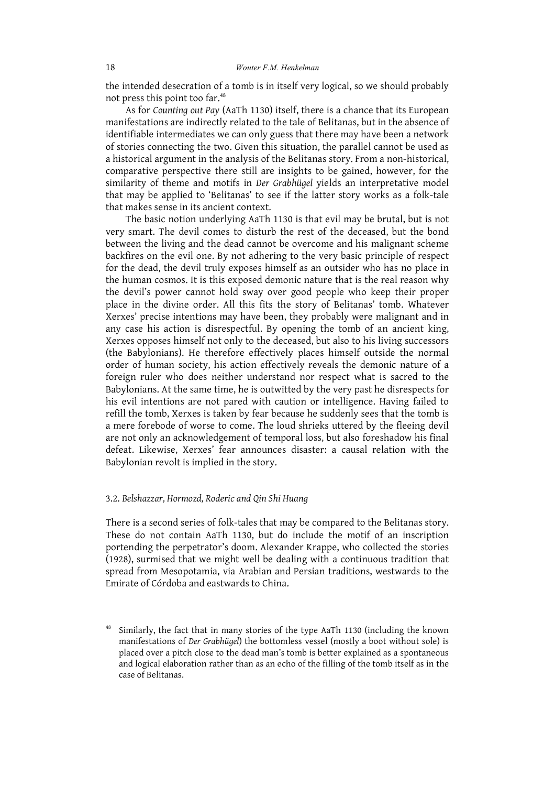the intended desecration of a tomb is in itself very logical, so we should probably not press this point too far. 48

As for *Counting out Pay* (AaTh 1130) itself, there is a chance that its European manifestations are indirectly related to the tale of Belitanas, but in the absence of identifiable intermediates we can only guess that there may have been a network of stories connecting the two. Given this situation, the parallel cannot be used as a historical argument in the analysis of the Belitanas story. From a non-historical, comparative perspective there still are insights to be gained, however, for the similarity of theme and motifs in *Der Grabhügel* yields an interpretative model that may be applied to 'Belitanas' to see if the latter story works as a folk-tale that makes sense in its ancient context.

The basic notion underlying AaTh 1130 is that evil may be brutal, but is not very smart. The devil comes to disturb the rest of the deceased, but the bond between the living and the dead cannot be overcome and his malignant scheme backfires on the evil one. By not adhering to the very basic principle of respect for the dead, the devil truly exposes himself as an outsider who has no place in the human cosmos. It is this exposed demonic nature that is the real reason why the devil's power cannot hold sway over good people who keep their proper place in the divine order. All this fits the story of Belitanas' tomb. Whatever Xerxes' precise intentions may have been, they probably were malignant and in any case his action is disrespectful. By opening the tomb of an ancient king, Xerxes opposes himself not only to the deceased, but also to his living successors (the Babylonians). He therefore effectively places himself outside the normal order of human society, his action effectively reveals the demonic nature of a foreign ruler who does neither understand nor respect what is sacred to the Babylonians. At the same time, he is outwitted by the very past he disrespects for his evil intentions are not pared with caution or intelligence. Having failed to refill the tomb, Xerxes is taken by fear because he suddenly sees that the tomb is a mere forebode of worse to come. The loud shrieks uttered by the fleeing devil are not only an acknowledgement of temporal loss, but also foreshadow his final defeat. Likewise, Xerxes' fear announces disaster: a causal relation with the Babylonian revolt is implied in the story.

## 3.2. *Belshazzar, Hormozd, Roderic and Qin Shi Huang*

There is a second series of folk-tales that may be compared to the Belitanas story. These do not contain AaTh 1130, but do include the motif of an inscription portending the perpetrator's doom. Alexander Krappe, who collected the stories (1928), surmised that we might well be dealing with a continuous tradition that spread from Mesopotamia, via Arabian and Persian traditions, westwards to the Emirate of Córdoba and eastwards to China.

Similarly, the fact that in many stories of the type AaTh 1130 (including the known manifestations of *Der Grabhügel*) the bottomless vessel (mostly a boot without sole) is placed over a pitch close to the dead man's tomb is better explained as a spontaneous and logical elaboration rather than as an echo of the filling of the tomb itself as in the case of Belitanas.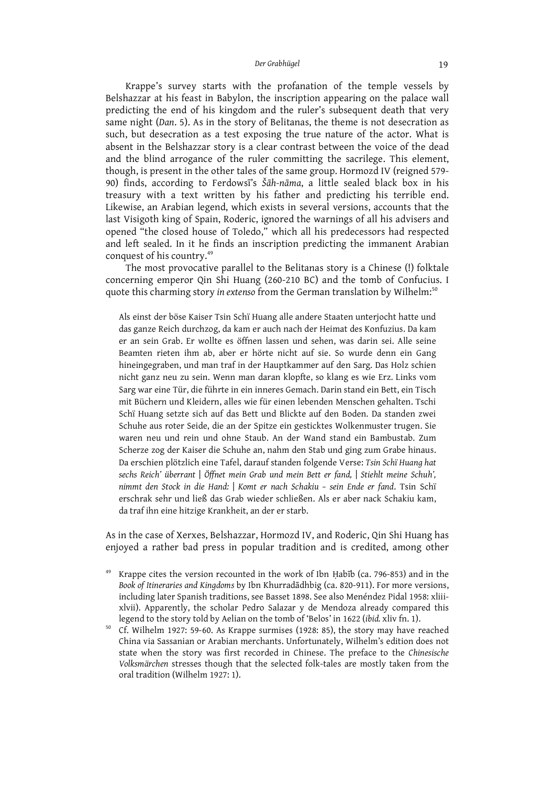Krappe's survey starts with the profanation of the temple vessels by Belshazzar at his feast in Babylon, the inscription appearing on the palace wall predicting the end of his kingdom and the ruler's subsequent death that very same night (*Dan*. 5). As in the story of Belitanas, the theme is not desecration as such, but desecration as a test exposing the true nature of the actor. What is absent in the Belshazzar story is a clear contrast between the voice of the dead and the blind arrogance of the ruler committing the sacrilege. This element, though, is present in the other tales of the same group. Hormozd IV (reigned 579- 90) finds, according to Ferdowsī's *Šāh-nāma*, a little sealed black box in his treasury with a text written by his father and predicting his terrible end. Likewise, an Arabian legend, which exists in several versions, accounts that the last Visigoth king of Spain, Roderic, ignored the warnings of all his advisers and opened "the closed house of Toledo," which all his predecessors had respected and left sealed. In it he finds an inscription predicting the immanent Arabian conquest of his country. 49

The most provocative parallel to the Belitanas story is a Chinese (!) folktale concerning emperor Qin Shi Huang (260-210 BC) and the tomb of Confucius. I quote this charming story *in extenso* from the German translation by Wilhelm: 50

Als einst der böse Kaiser Tsin Schï Huang alle andere Staaten unterjocht hatte und das ganze Reich durchzog, da kam er auch nach der Heimat des Konfuzius. Da kam er an sein Grab. Er wollte es öffnen lassen und sehen, was darin sei. Alle seine Beamten rieten ihm ab, aber er hörte nicht auf sie. So wurde denn ein Gang hineingegraben, und man traf in der Hauptkammer auf den Sarg. Das Holz schien nicht ganz neu zu sein. Wenn man daran klopfte, so klang es wie Erz. Links vom Sarg war eine Tür, die führte in ein inneres Gemach. Darin stand ein Bett, ein Tisch mit Büchern und Kleidern, alles wie für einen lebenden Menschen gehalten. Tschi Schï Huang setzte sich auf das Bett und Blickte auf den Boden. Da standen zwei Schuhe aus roter Seide, die an der Spitze ein gesticktes Wolkenmuster trugen. Sie waren neu und rein und ohne Staub. An der Wand stand ein Bambustab. Zum Scherze zog der Kaiser die Schuhe an, nahm den Stab und ging zum Grabe hinaus. Da erschien plötzlich eine Tafel, darauf standen folgende Verse: *Tsin Schï Huang hat sechs Reich' überrant* | *Öffnet mein Grab und mein Bett er fand,* | *Stiehlt meine Schuh', nimmt den Stock in die Hand:* | *Komt er nach Schakiu – sein Ende er fand*. Tsin Schï erschrak sehr und ließ das Grab wieder schließen. Als er aber nack Schakiu kam, da traf ihn eine hitzige Krankheit, an der er starb.

As in the case of Xerxes, Belshazzar, Hormozd IV, and Roderic, Qin Shi Huang has enjoyed a rather bad press in popular tradition and is credited, among other

- <sup>49</sup> Krappe cites the version recounted in the work of Ibn Ḥabīb (ca. 796-853) and in the *Book of Itineraries and Kingdoms* by Ibn Khurradādhbig (ca. 820-911). For more versions, including later Spanish traditions, see Basset 1898. See also Menéndez Pidal 1958: xliiixlvii). Apparently, the scholar Pedro Salazar y de Mendoza already compared this legend to the story told by Aelian on the tomb of 'Belos' in 1622 (*ibid.* xliv fn. 1).
- <sup>50</sup> Cf. Wilhelm 1927: 59-60. As Krappe surmises (1928: 85), the story may have reached China via Sassanian or Arabian merchants. Unfortunately, Wilhelm's edition does not state when the story was first recorded in Chinese. The preface to the *Chinesische Volksmärchen* stresses though that the selected folk-tales are mostly taken from the oral tradition (Wilhelm 1927: 1).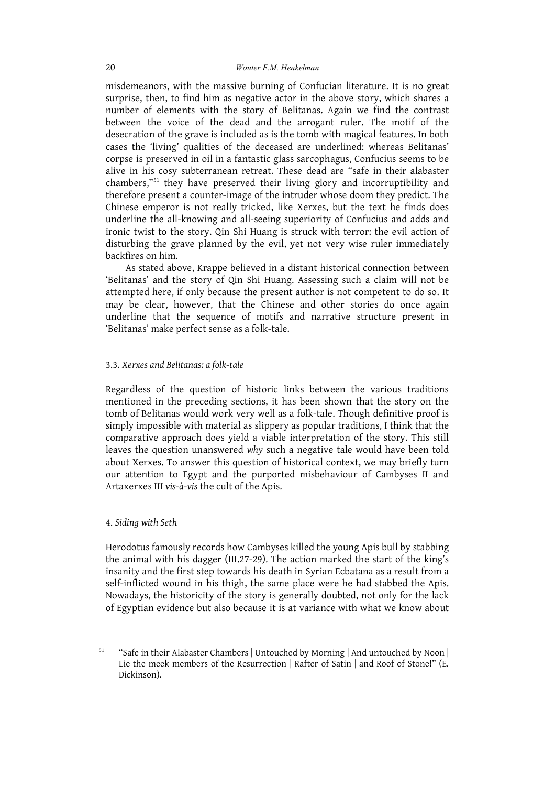misdemeanors, with the massive burning of Confucian literature. It is no great surprise, then, to find him as negative actor in the above story, which shares a number of elements with the story of Belitanas. Again we find the contrast between the voice of the dead and the arrogant ruler. The motif of the desecration of the grave is included as is the tomb with magical features. In both cases the 'living' qualities of the deceased are underlined: whereas Belitanas' corpse is preserved in oil in a fantastic glass sarcophagus, Confucius seems to be alive in his cosy subterranean retreat. These dead are "safe in their alabaster chambers,"<sup>51</sup> they have preserved their living glory and incorruptibility and therefore present a counter-image of the intruder whose doom they predict. The Chinese emperor is not really tricked, like Xerxes, but the text he finds does underline the all-knowing and all-seeing superiority of Confucius and adds and ironic twist to the story. Qin Shi Huang is struck with terror: the evil action of disturbing the grave planned by the evil, yet not very wise ruler immediately backfires on him.

As stated above, Krappe believed in a distant historical connection between 'Belitanas' and the story of Qin Shi Huang. Assessing such a claim will not be attempted here, if only because the present author is not competent to do so. It may be clear, however, that the Chinese and other stories do once again underline that the sequence of motifs and narrative structure present in 'Belitanas' make perfect sense as a folk-tale.

## 3.3. *Xerxes and Belitanas: a folk-tale*

Regardless of the question of historic links between the various traditions mentioned in the preceding sections, it has been shown that the story on the tomb of Belitanas would work very well as a folk-tale. Though definitive proof is simply impossible with material as slippery as popular traditions, I think that the comparative approach does yield a viable interpretation of the story. This still leaves the question unanswered *why* such a negative tale would have been told about Xerxes. To answer this question of historical context, we may briefly turn our attention to Egypt and the purported misbehaviour of Cambyses II and Artaxerxes III *vis-à-vis* the cult of the Apis.

## 4. *Siding with Seth*

Herodotus famously records how Cambyses killed the young Apis bull by stabbing the animal with his dagger (III.27-29). The action marked the start of the king's insanity and the first step towards his death in Syrian Ecbatana as a result from a self-inflicted wound in his thigh, the same place were he had stabbed the Apis. Nowadays, the historicity of the story is generally doubted, not only for the lack of Egyptian evidence but also because it is at variance with what we know about

<sup>51</sup> "Safe in their Alabaster Chambers | Untouched by Morning | And untouched by Noon | Lie the meek members of the Resurrection | Rafter of Satin | and Roof of Stone!" (E. Dickinson).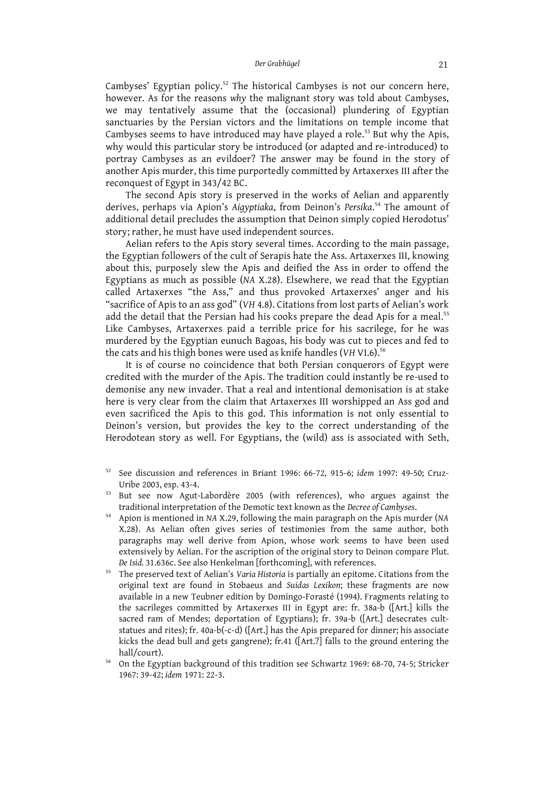Cambyses' Egyptian policy.<sup>52</sup> The historical Cambyses is not our concern here, however. As for the reasons *why* the malignant story was told about Cambyses, we may tentatively assume that the (occasional) plundering of Egyptian sanctuaries by the Persian victors and the limitations on temple income that Cambyses seems to have introduced may have played a role. <sup>53</sup> But why the Apis, why would this particular story be introduced (or adapted and re-introduced) to portray Cambyses as an evildoer? The answer may be found in the story of another Apis murder, this time purportedly committed by Artaxerxes III after the reconquest of Egypt in 343/42 BC.

The second Apis story is preserved in the works of Aelian and apparently derives, perhaps via Apion's *Aigyptiaka*, from Deinon's *Persika*. <sup>54</sup> The amount of additional detail precludes the assumption that Deinon simply copied Herodotus' story; rather, he must have used independent sources.

Aelian refers to the Apis story several times. According to the main passage, the Egyptian followers of the cult of Serapis hate the Ass. Artaxerxes III, knowing about this, purposely slew the Apis and deified the Ass in order to offend the Egyptians as much as possible (*NA* X.28). Elsewhere, we read that the Egyptian called Artaxerxes "the Ass," and thus provoked Artaxerxes' anger and his "sacrifice of Apis to an ass god" (*VH* 4.8). Citations from lost parts of Aelian's work add the detail that the Persian had his cooks prepare the dead Apis for a meal.<sup>55</sup> Like Cambyses, Artaxerxes paid a terrible price for his sacrilege, for he was murdered by the Egyptian eunuch Bagoas, his body was cut to pieces and fed to the cats and his thigh bones were used as knife handles (*VH* VI.6). 56

It is of course no coincidence that both Persian conquerors of Egypt were credited with the murder of the Apis. The tradition could instantly be re-used to demonise any new invader. That a real and intentional demonisation is at stake here is very clear from the claim that Artaxerxes III worshipped an Ass god and even sacrificed the Apis to this god. This information is not only essential to Deinon's version, but provides the key to the correct understanding of the Herodotean story as well. For Egyptians, the (wild) ass is associated with Seth,

- <sup>52</sup> See discussion and references in Briant 1996: 66-72, 915-6; *idem* 1997: 49-50; Cruz-Uribe 2003, esp. 43-4.
- <sup>53</sup> But see now Agut-Labordère 2005 (with references), who argues against the traditional interpretation of the Demotic text known as the *Decree of Cambyses*.
- <sup>54</sup> Apion is mentioned in *NA* X.29, following the main paragraph on the Apis murder (*NA* X.28). As Aelian often gives series of testimonies from the same author, both paragraphs may well derive from Apion, whose work seems to have been used extensively by Aelian. For the ascription of the original story to Deinon compare Plut. *De Isid.* 31.636c. See also Henkelman [forthcoming], with references.
- <sup>55</sup> The preserved text of Aelian's *Varia Historia* is partially an epitome. Citations from the original text are found in Stobaeus and *Suidas Lexikon*; these fragments are now available in a new Teubner edition by Domingo-Forasté (1994). Fragments relating to the sacrileges committed by Artaxerxes III in Egypt are: fr. 38a-b ([Art.] kills the sacred ram of Mendes; deportation of Egyptians); fr. 39a-b ([Art.] desecrates cultstatues and rites); fr. 40a-b(-c-d) ([Art.] has the Apis prepared for dinner; his associate kicks the dead bull and gets gangrene); fr.41 ([Art.?] falls to the ground entering the hall/court).
- <sup>56</sup> On the Egyptian background of this tradition see Schwartz 1969: 68-70, 74-5; Stricker 1967: 39-42; *idem* 1971: 22-3.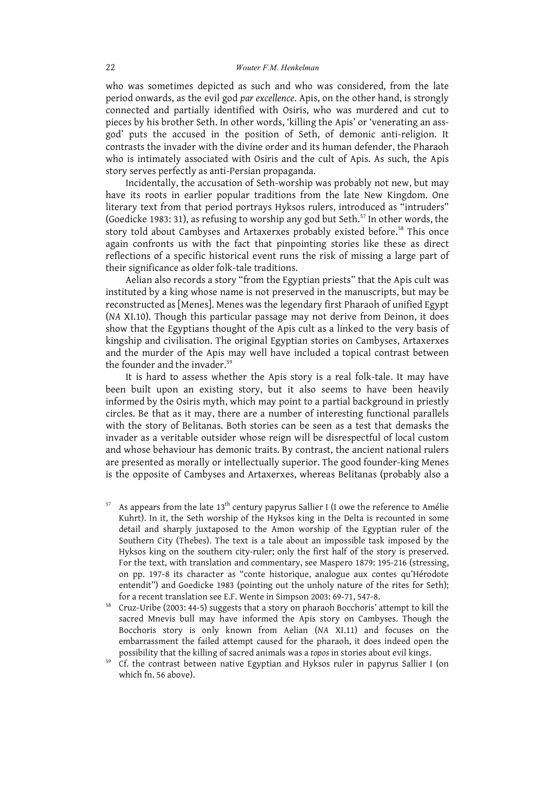who was sometimes depicted as such and who was considered, from the late period onwards, as the evil god *par excellence*. Apis, on the other hand, is strongly connected and partially identified with Osiris, who was murdered and cut to pieces by his brother Seth. In other words, 'killing the Apis' or 'venerating an assgod' puts the accused in the position of Seth, of demonic anti-religion. It contrasts the invader with the divine order and its human defender, the Pharaoh who is intimately associated with Osiris and the cult of Apis. As such, the Apis story serves perfectly as anti-Persian propaganda.

Incidentally, the accusation of Seth-worship was probably not new, but may have its roots in earlier popular traditions from the late New Kingdom. One literary text from that period portrays Hyksos rulers, introduced as "intruders" (Goedicke 1983: 31), as refusing to worship any god but Seth. <sup>57</sup> In other words, the story told about Cambyses and Artaxerxes probably existed before. <sup>58</sup> This once again confronts us with the fact that pinpointing stories like these as direct reflections of a specific historical event runs the risk of missing a large part of their significance as older folk-tale traditions.

Aelian also records a story "from the Egyptian priests" that the Apis cult was instituted by a king whose name is not preserved in the manuscripts, but may be reconstructed as [Menes]. Menes was the legendary first Pharaoh of unified Egypt (*NA* XI.10). Though this particular passage may not derive from Deinon, it does show that the Egyptians thought of the Apis cult as a linked to the very basis of kingship and civilisation. The original Egyptian stories on Cambyses, Artaxerxes and the murder of the Apis may well have included a topical contrast between the founder and the invader. 59

It is hard to assess whether the Apis story is a real folk-tale. It may have been built upon an existing story, but it also seems to have been heavily informed by the Osiris myth, which may point to a partial background in priestly circles. Be that as it may, there are a number of interesting functional parallels with the story of Belitanas. Both stories can be seen as a test that demasks the invader as a veritable outsider whose reign will be disrespectful of local custom and whose behaviour has demonic traits. By contrast, the ancient national rulers are presented as morally or intellectually superior. The good founder-king Menes is the opposite of Cambyses and Artaxerxes, whereas Belitanas (probably also a

- As appears from the late 13<sup>th</sup> century papyrus Sallier I (I owe the reference to Amélie Kuhrt). In it, the Seth worship of the Hyksos king in the Delta is recounted in some detail and sharply juxtaposed to the Amon worship of the Egyptian ruler of the Southern City (Thebes). The text is a tale about an impossible task imposed by the Hyksos king on the southern city-ruler; only the first half of the story is preserved. For the text, with translation and commentary, see Maspero 1879: 195-216 (stressing, on pp. 197-8 its character as "conte historique, analogue aux contes qu'Hérodote entendit") and Goedicke 1983 (pointing out the unholy nature of the rites for Seth); for a recent translation see E.F. Wente in Simpson 2003: 69-71, 547-8.
- <sup>58</sup> Cruz-Uribe (2003: 44-5) suggests that a story on pharaoh Bocchoris' attempt to kill the sacred Mnevis bull may have informed the Apis story on Cambyses. Though the Bocchoris story is only known from Aelian (*NA* XI.11) and focuses on the embarrassment the failed attempt caused for the pharaoh, it does indeed open the possibility that the killing of sacred animals was a *topos* in stories about evil kings.
- <sup>59</sup> Cf. the contrast between native Egyptian and Hyksos ruler in papyrus Sallier I (on which fn. 56 above).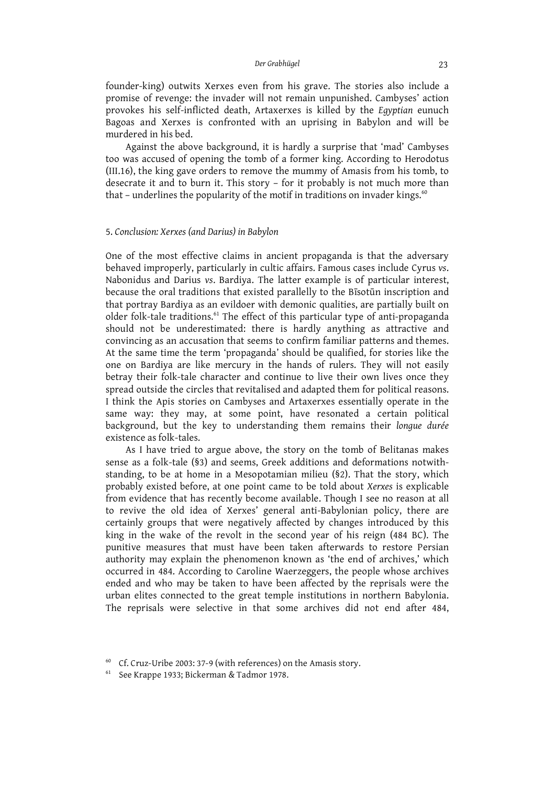founder-king) outwits Xerxes even from his grave. The stories also include a promise of revenge: the invader will not remain unpunished. Cambyses' action provokes his self-inflicted death, Artaxerxes is killed by the *Egyptian* eunuch Bagoas and Xerxes is confronted with an uprising in Babylon and will be murdered in his bed.

Against the above background, it is hardly a surprise that 'mad' Cambyses too was accused of opening the tomb of a former king. According to Herodotus (III.16), the king gave orders to remove the mummy of Amasis from his tomb, to desecrate it and to burn it. This story – for it probably is not much more than that - underlines the popularity of the motif in traditions on invader kings. $^{60}$ 

# 5. *Conclusion: Xerxes (and Darius) in Babylon*

One of the most effective claims in ancient propaganda is that the adversary behaved improperly, particularly in cultic affairs. Famous cases include Cyrus *vs*. Nabonidus and Darius *vs*. Bardiya. The latter example is of particular interest, because the oral traditions that existed parallelly to the Bīsotūn inscription and that portray Bardiya as an evildoer with demonic qualities, are partially built on older folk-tale traditions.<sup>61</sup> The effect of this particular type of anti-propaganda should not be underestimated: there is hardly anything as attractive and convincing as an accusation that seems to confirm familiar patterns and themes. At the same time the term 'propaganda' should be qualified, for stories like the one on Bardiya are like mercury in the hands of rulers. They will not easily betray their folk-tale character and continue to live their own lives once they spread outside the circles that revitalised and adapted them for political reasons. I think the Apis stories on Cambyses and Artaxerxes essentially operate in the same way: they may, at some point, have resonated a certain political background, but the key to understanding them remains their *longue durée* existence as folk-tales.

As I have tried to argue above, the story on the tomb of Belitanas makes sense as a folk-tale (§3) and seems, Greek additions and deformations notwithstanding, to be at home in a Mesopotamian milieu (§2). That the story, which probably existed before, at one point came to be told about *Xerxes* is explicable from evidence that has recently become available. Though I see no reason at all to revive the old idea of Xerxes' general anti-Babylonian policy, there are certainly groups that were negatively affected by changes introduced by this king in the wake of the revolt in the second year of his reign (484 BC). The punitive measures that must have been taken afterwards to restore Persian authority may explain the phenomenon known as 'the end of archives,' which occurred in 484. According to Caroline Waerzeggers, the people whose archives ended and who may be taken to have been affected by the reprisals were the urban elites connected to the great temple institutions in northern Babylonia. The reprisals were selective in that some archives did not end after 484,

Cf. Cruz-Uribe 2003: 37-9 (with references) on the Amasis story.

<sup>&</sup>lt;sup>61</sup> See Krappe 1933; Bickerman & Tadmor 1978.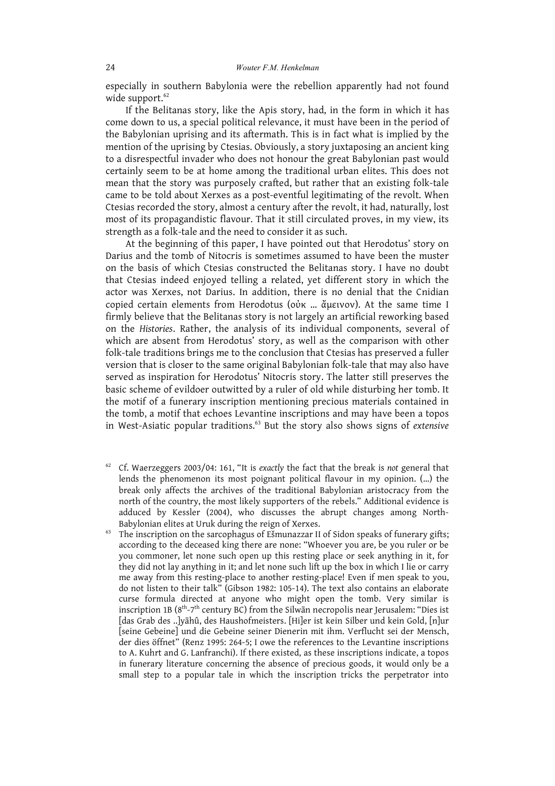especially in southern Babylonia were the rebellion apparently had not found wide support. 62

If the Belitanas story, like the Apis story, had, in the form in which it has come down to us, a special political relevance, it must have been in the period of the Babylonian uprising and its aftermath. This is in fact what is implied by the mention of the uprising by Ctesias. Obviously, a story juxtaposing an ancient king to a disrespectful invader who does not honour the great Babylonian past would certainly seem to be at home among the traditional urban elites. This does not mean that the story was purposely crafted, but rather that an existing folk-tale came to be told about Xerxes as a post-eventful legitimating of the revolt. When Ctesias recorded the story, almost a century after the revolt, it had, naturally, lost most of its propagandistic flavour. That it still circulated proves, in my view, its strength as a folk-tale and the need to consider it as such.

At the beginning of this paper, I have pointed out that Herodotus' story on Darius and the tomb of Nitocris is sometimes assumed to have been the muster on the basis of which Ctesias constructed the Belitanas story. I have no doubt that Ctesias indeed enjoyed telling a related, yet different story in which the actor was Xerxes, not Darius. In addition, there is no denial that the Cnidian copied certain elements from Herodotus (οὐκ … ἄμεινον). At the same time I firmly believe that the Belitanas story is not largely an artificial reworking based on the *Histories*. Rather, the analysis of its individual components, several of which are absent from Herodotus' story, as well as the comparison with other folk-tale traditions brings me to the conclusion that Ctesias has preserved a fuller version that is closer to the same original Babylonian folk-tale that may also have served as inspiration for Herodotus' Nitocris story. The latter still preserves the basic scheme of evildoer outwitted by a ruler of old while disturbing her tomb. It the motif of a funerary inscription mentioning precious materials contained in the tomb, a motif that echoes Levantine inscriptions and may have been a topos in West-Asiatic popular traditions. <sup>63</sup> But the story also shows signs of *extensive*

- <sup>62</sup> Cf. Waerzeggers 2003/04: 161, "It is *exactly* the fact that the break is *not* general that lends the phenomenon its most poignant political flavour in my opinion. (…) the break only affects the archives of the traditional Babylonian aristocracy from the north of the country, the most likely supporters of the rebels." Additional evidence is adduced by Kessler (2004), who discusses the abrupt changes among North-Babylonian elites at Uruk during the reign of Xerxes.
- The inscription on the sarcophagus of Ešmunazzar II of Sidon speaks of funerary gifts; according to the deceased king there are none: "Whoever you are, be you ruler or be you commoner, let none such open up this resting place or seek anything in it, for they did not lay anything in it; and let none such lift up the box in which I lie or carry me away from this resting-place to another resting-place! Even if men speak to you, do not listen to their talk" (Gibson 1982: 105-14). The text also contains an elaborate curse formula directed at anyone who might open the tomb. Very similar is inscription 1B ( $8^{\rm th}$ -7<sup>th</sup> century BC) from the Silwān necropolis near Jerusalem: "Dies ist [das Grab des ..]yāhû, des Haushofmeisters. [Hi]er ist kein Silber und kein Gold, [n]ur [seine Gebeine] und die Gebeine seiner Dienerin mit ihm. Verflucht sei der Mensch, der dies öffnet" (Renz 1995: 264-5; I owe the references to the Levantine inscriptions to A. Kuhrt and G. Lanfranchi). If there existed, as these inscriptions indicate, a topos in funerary literature concerning the absence of precious goods, it would only be a small step to a popular tale in which the inscription tricks the perpetrator into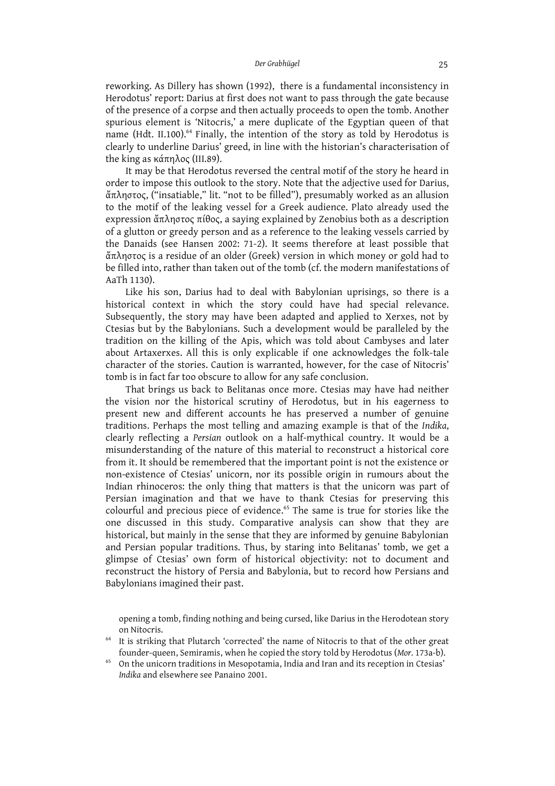reworking. As Dillery has shown (1992), there is a fundamental inconsistency in Herodotus' report: Darius at first does not want to pass through the gate because of the presence of a corpse and then actually proceeds to open the tomb. Another spurious element is 'Nitocris,' a mere duplicate of the Egyptian queen of that name (Hdt. II.100). <sup>64</sup> Finally, the intention of the story as told by Herodotus is clearly to underline Darius' greed, in line with the historian's characterisation of the king as κάπηλος (III.89).

It may be that Herodotus reversed the central motif of the story he heard in order to impose this outlook to the story. Note that the adjective used for Darius, ἄπληστος, ("insatiable," lit. "not to be filled"), presumably worked as an allusion to the motif of the leaking vessel for a Greek audience. Plato already used the expression ἄπληστος πίθος, a saying explained by Zenobius both as a description of a glutton or greedy person and as a reference to the leaking vessels carried by the Danaids (see Hansen 2002: 71-2). It seems therefore at least possible that ἄπληστος is a residue of an older (Greek) version in which money or gold had to be filled into, rather than taken out of the tomb (cf. the modern manifestations of AaTh 1130).

Like his son, Darius had to deal with Babylonian uprisings, so there is a historical context in which the story could have had special relevance. Subsequently, the story may have been adapted and applied to Xerxes, not by Ctesias but by the Babylonians. Such a development would be paralleled by the tradition on the killing of the Apis, which was told about Cambyses and later about Artaxerxes. All this is only explicable if one acknowledges the folk-tale character of the stories. Caution is warranted, however, for the case of Nitocris' tomb is in fact far too obscure to allow for any safe conclusion.

That brings us back to Belitanas once more. Ctesias may have had neither the vision nor the historical scrutiny of Herodotus, but in his eagerness to present new and different accounts he has preserved a number of genuine traditions. Perhaps the most telling and amazing example is that of the *Indika*, clearly reflecting a *Persian* outlook on a half-mythical country. It would be a misunderstanding of the nature of this material to reconstruct a historical core from it. It should be remembered that the important point is not the existence or non-existence of Ctesias' unicorn, nor its possible origin in rumours about the Indian rhinoceros: the only thing that matters is that the unicorn was part of Persian imagination and that we have to thank Ctesias for preserving this colourful and precious piece of evidence. <sup>65</sup> The same is true for stories like the one discussed in this study. Comparative analysis can show that they are historical, but mainly in the sense that they are informed by genuine Babylonian and Persian popular traditions. Thus, by staring into Belitanas' tomb, we get a glimpse of Ctesias' own form of historical objectivity: not to document and reconstruct the history of Persia and Babylonia, but to record how Persians and Babylonians imagined their past.

opening a tomb, finding nothing and being cursed, like Darius in the Herodotean story on Nitocris.

It is striking that Plutarch 'corrected' the name of Nitocris to that of the other great founder-queen, Semiramis, when he copied the story told by Herodotus (*Mor.* 173a-b).

<sup>65</sup> On the unicorn traditions in Mesopotamia, India and Iran and its reception in Ctesias' *Indika* and elsewhere see Panaino 2001.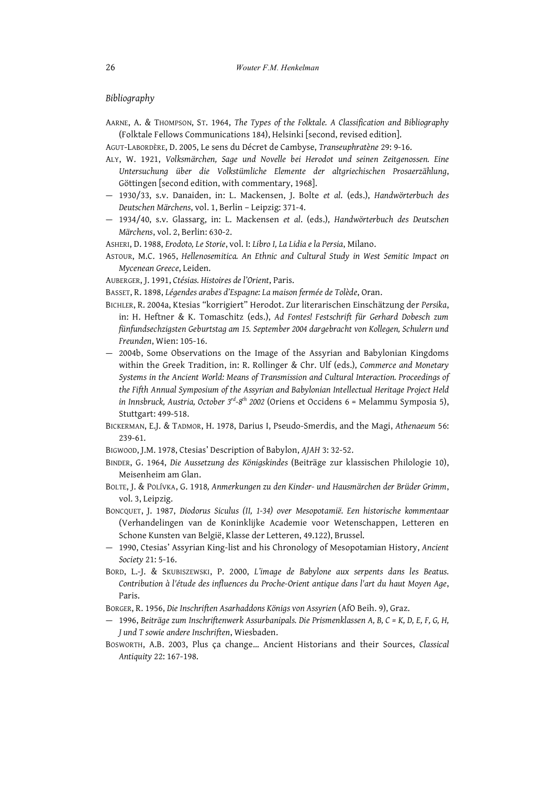## *Bibliography*

AARNE, A. & THOMPSON, ST. 1964, *The Types of the Folktale. A Classification and Bibliography* (Folktale Fellows Communications 184), Helsinki [second, revised edition].

AGUT-LABORDÈRE, D. 2005, Le sens du Décret de Cambyse, *Transeuphratène* 29: 9-16.

- ALY, W. 1921, *Volksmärchen, Sage und Novelle bei Herodot und seinen Zeitgenossen. Eine Untersuchung über die Volkstümliche Elemente der altgriechischen Prosaerzählung*, Göttingen [second edition, with commentary, 1968].
- 1930/33, s.v. Danaiden, in: L. Mackensen, J. Bolte *et al*. (eds.), *Handwörterbuch des Deutschen Märchens*, vol. 1, Berlin – Leipzig: 371-4.
- 1934/40, s.v. Glassarg, in: L. Mackensen *et al*. (eds.), *Handwörterbuch des Deutschen Märchens*, vol. 2, Berlin: 630-2.
- ASHERI, D. 1988, *Erodoto, Le Storie*, vol. I: *Libro I, La Lidia ela Persia*, Milano.
- ASTOUR, M.C. 1965, *Hellenosemitica. An Ethnic and Cultural Study in West Semitic Impact on Mycenean Greece*, Leiden.

AUBERGER, J. 1991, *Ctésias. Histoires de l'Orient*, Paris.

BASSET, R. 1898, *Légendes arabes d'Espagne: La maison fermée de Tolède*, Oran.

- BICHLER, R. 2004a, Ktesias "korrigiert" Herodot. Zur literarischen Einschätzung der *Persika*, in: H. Heftner & K. Tomaschitz (eds.), *Ad Fontes! Festschrift für Gerhard Dobesch zum fünfundsechzigsten Geburtstag am 15. September 2004 dargebracht von Kollegen, Schulern und Freunden*, Wien: 105-16.
- 2004b, Some Observations on the Image of the Assyrian and Babylonian Kingdoms within the Greek Tradition, in: R. Rollinger & Chr. Ulf (eds.), *Commerce and Monetary Systems in the Ancient World: Means of Transmission and Cultural Interaction. Proceedings of the Fifth Annual Symposium of the Assyrian and Babylonian Intellectual Heritage Project Held in Innsbruck, Austria, October 3 rd -8 th 2002* (Oriens et Occidens 6 = Melammu Symposia 5), Stuttgart: 499-518.
- BICKERMAN, E.J. & TADMOR, H. 1978, Darius I, Pseudo-Smerdis, and the Magi, *Athenaeum* 56: 239-61.

BIGWOOD, J.M. 1978, Ctesias' Description of Babylon, *AJAH* 3: 32-52.

- BINDER, G. 1964, *Die Aussetzung des Königskindes* (Beiträge zur klassischen Philologie 10), Meisenheim am Glan.
- BOLTE, J. & POLÍVKA, G. 1918*, Anmerkungen zu den Kinder- und Hausmärchen der Brüder Grimm*, vol. 3, Leipzig.
- BONCQUET, J. 1987, *Diodorus Siculus (II, 1-34) over Mesopotamië. Een historische kommentaar* (Verhandelingen van de Koninklijke Academie voor Wetenschappen, Letteren en Schone Kunsten van België, Klasse der Letteren, 49.122), Brussel.
- 1990, Ctesias' Assyrian King-list and his Chronology of Mesopotamian History, *Ancient Society* 21: 5-16.
- BORD, L.-J. & SKUBISZEWSKI, P. 2000, *L'image de Babylone aux serpents dans les Beatus. Contribution à l'étude des influences du Proche-Orient antique dans l'art du haut Moyen Age*, Paris.
- BORGER, R. 1956, *Die Inschriften Asarhaddons Königs von Assyrien* (AfO Beih. 9), Graz.
- 1996, *Beiträge zum Inschriftenwerk Assurbanipals. Die Prismenklassen A, B, C = K, D, E, F, G, H, J und T sowie andere Inschriften*, Wiesbaden.
- BOSWORTH, A.B. 2003, Plus ça change… Ancient Historians and their Sources, *Classical Antiquity* 22: 167-198.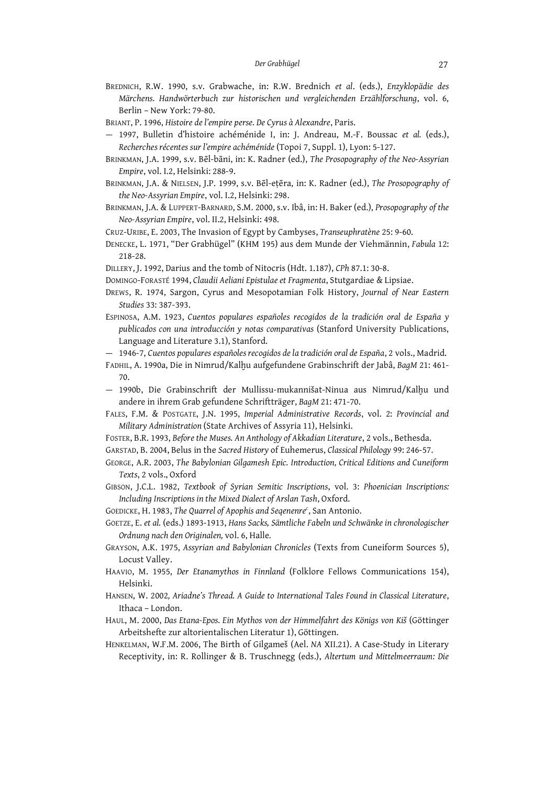- BREDNICH, R.W. 1990, s.v. Grabwache, in: R.W. Brednich *et al*. (eds.), *Enzyklopädie des Märchens. Handwörterbuch zur historischen und vergleichenden Erzählforschung*, vol. 6, Berlin – New York: 79-80.
- BRIANT, P. 1996, *Histoire del'empire perse. De Cyrus à Alexandre*, Paris.
- 1997, Bulletin d'histoire achéménide I, in: J. Andreau, M.-F. Boussac *et al.* (eds.), *Recherches récentes sur l'empire achéménide* (Topoi 7, Suppl. 1), Lyon: 5-127.
- BRINKMAN, J.A. 1999, s.v. Bēl-bāni, in: K. Radner (ed.), *The Prosopography of the Neo-Assyrian Empire*, vol. I.2, Helsinki: 288-9.
- BRINKMAN, J.A. & NIELSEN, J.P. 1999, s.v. Bēl-eṭēra, in: K. Radner (ed.), *The Prosopography of the Neo-Assyrian Empire*, vol. I.2, Helsinki: 298.
- BRINKMAN, J.A. & LUPPERT-BARNARD, S.M. 2000, s.v. Ibâ, in: H. Baker (ed.), *Prosopography of the Neo-Assyrian Empire*, vol. II.2, Helsinki: 498.

CRUZ-URIBE, E. 2003, The Invasion of Egypt by Cambyses, *Transeuphratène* 25: 9-60.

- DENECKE, L. 1971, "Der Grabhügel" (KHM 195) aus dem Munde der Viehmännin, *Fabula* 12: 218-28.
- DILLERY, J. 1992, Darius and the tomb of Nitocris (Hdt. 1.187), *CPh* 87.1: 30-8.

DOMINGO-FORASTÉ 1994, *Claudii Aeliani Epistulaeet Fragmenta*, Stutgardiae & Lipsiae.

- DREWS, R. 1974, Sargon, Cyrus and Mesopotamian Folk History, *Journal of Near Eastern Studies* 33: 387-393.
- ESPINOSA, A.M. 1923, *Cuentos populares españoles recogidos de la tradición oral de España y publicados con una introducción y notas comparativas* (Stanford University Publications, Language and Literature 3.1), Stanford.
- 1946-7, *Cuentos populares españoles recogidos dela tradición oral de España*, 2 vols., Madrid.
- FADHIL, A. 1990a, Die in Nimrud/Kalḫu aufgefundene Grabinschrift der Jabâ, *BagM* 21: 461- 70.
- $-$  1990b, Die Grabinschrift der Mullissu-mukannišat-Ninua aus Nimrud/Kalhu und andere in ihrem Grab gefundene Schriftträger, *BagM* 21: 471-70.
- FALES, F.M. & POSTGATE, J.N. 1995, *Imperial Administrative Records*, vol. 2: *Provincial and Military Administration* (State Archives of Assyria 11), Helsinki.
- FOSTER, B.R. 1993, *Beforethe Muses. An Anthology of Akkadian Literature*, 2 vols., Bethesda.
- GARSTAD, B. 2004, Belus in the *Sacred History* of Euhemerus, *Classical Philology* 99: 246-57.
- GEORGE, A.R. 2003, *The Babylonian Gilgamesh Epic. Introduction, Critical Editions and Cuneiform Texts*, 2 vols., Oxford
- GIBSON, J.C.L. 1982, *Textbook of Syrian Semitic Inscriptions*, vol. 3: *Phoenician Inscriptions: Including Inscriptions in the Mixed Dialect of Arslan Tash*, Oxford.
- GOEDICKE, H. 1983, *The Quarrel of Apophis and Seqenenre c* , San Antonio.
- GOETZE, E. *et al.* (eds.) 1893-1913, *Hans Sacks, Sämtliche Fabeln und Schwänke in chronologischer Ordnung nach den Originalen,* vol. 6, Halle*.*
- GRAYSON, A.K. 1975, *Assyrian and Babylonian Chronicles* (Texts from Cuneiform Sources 5), Locust Valley.
- HAAVIO, M. 1955, *Der Etanamythos in Finnland* (Folklore Fellows Communications 154), Helsinki.
- HANSEN, W. 2002*, Ariadne's Thread. A Guide to International Tales Found in Classical Literature*, Ithaca – London.
- HAUL, M. 2000, *Das Etana-Epos. Ein Mythos von der Himmelfahrt des Königs von Kiš* (Göttinger Arbeitshefte zur altorientalischen Literatur 1), Göttingen.
- HENKELMAN, W.F.M. 2006, The Birth of Gilgameš (Ael. *NA* XII.21). A Case-Study in Literary Receptivity, in: R. Rollinger & B. Truschnegg (eds.), *Altertum und Mittelmeerraum: Die*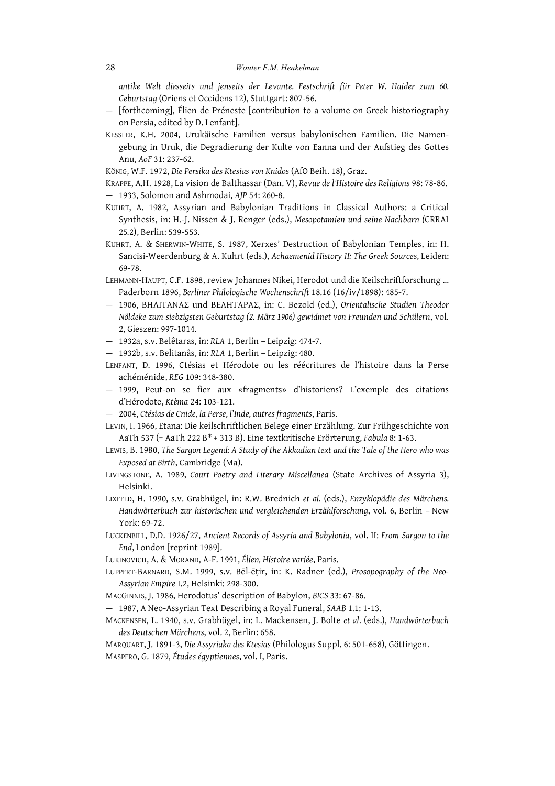*antike Welt diesseits und jenseits der Levante. Festschrift für Peter W. Haider zum 60. Geburtstag* (Oriens et Occidens 12), Stuttgart: 807-56.

- [forthcoming], Élien de Préneste [contribution to a volume on Greek historiography on Persia, edited by D. Lenfant].
- KESSLER, K.H. 2004, Urukäische Familien versus babylonischen Familien. Die Namengebung in Uruk, die Degradierung der Kulte von Eanna und der Aufstieg des Gottes Anu, *AoF* 31: 237-62.

KÖNIG, W.F. 1972, *Die Persika des Ktesias von Knidos* (AfO Beih. 18), Graz.

KRAPPE, A.H. 1928, La vision de Balthassar (Dan. V), *Revue de l'Histoire des Religions* 98: 78-86. — 1933, Solomon and Ashmodai, *AJP* 54: 260-8.

- KUHRT, A. 1982, Assyrian and Babylonian Traditions in Classical Authors: a Critical Synthesis, in: H.-J. Nissen & J. Renger (eds.), *Mesopotamien und seine Nachbarn (*CRRAI 25*.*2), Berlin: 539-553.
- KUHRT, A. & SHERWIN-WHITE, S. 1987, Xerxes' Destruction of Babylonian Temples, in: H. Sancisi-Weerdenburg & A. Kuhrt (eds.), *Achaemenid History II: The Greek Sources*, Leiden: 69-78.
- LEHMANN-HAUPT, C.F. 1898, review Johannes Nikei, Herodot und die Keilschriftforschung … Paderborn 1896, *Berliner Philologische Wochenschrift* 18.16 (16/iv/1898): 485-7.
- 1906, ΒΗΛΙΤΑΝΑΣ und ΒΕΛΗΤΑΡΑΣ, in: C. Bezold (ed.), *Orientalische Studien Theodor Nöldeke zum siebzigsten Geburtstag (2. März 1906) gewidmet von Freunden und Schülern*, vol. 2, Gieszen: 997-1014.
- 1932a, s.v. Belêtaras, in: *RLA* 1, Berlin Leipzig: 474-7.
- 1932b, s.v. Belitanâs, in: *RLA* 1, Berlin Leipzig: 480.
- LENFANT, D. 1996, Ctésias et Hérodote ou les réécritures de l'histoire dans la Perse achéménide, *REG* 109: 348-380.
- 1999, Peut-on se fier aux «fragments» d'historiens? L'exemple des citations d'Hérodote, *Ktèma* 24: 103-121.
- 2004, *Ctésias de Cnide, la Perse, l'Inde, autres fragments*, Paris.
- LEVIN, I. 1966, Etana: Die keilschriftlichen Belege einer Erzählung. Zur Frühgeschichte von AaTh 537 (= AaTh 222 B\* + 313 B). Eine textkritische Erörterung, *Fabula* 8: 1-63.
- LEWIS, B. 1980, *The Sargon Legend: A Study of the Akkadian text and the Tale of the Hero who was Exposed at Birth*, Cambridge (Ma).
- LIVINGSTONE, A. 1989, *Court Poetry and Literary Miscellanea* (State Archives of Assyria 3), Helsinki.
- LIXFELD, H. 1990, s.v. Grabhügel, in: R.W. Brednich *et al.* (eds.), *Enzyklopädie des Märchens. Handwörterbuch zur historischen und vergleichenden Erzählforschung*, vol. 6, Berlin – New York: 69-72.
- LUCKENBILL, D.D. 1926/27, *Ancient Records of Assyria and Babylonia*, vol. II: *From Sargon to the End*, London [reprint 1989].
- LUKINOVICH, A. & MORAND, A-F. 1991, *Élien, Histoire variée*, Paris.
- LUPPERT-BARNARD, S.M. 1999, s.v. Bēl-ēṭir, in: K. Radner (ed.), *Prosopography of the Neo-Assyrian Empire* I.2, Helsinki: 298-300.
- MACGINNIS, J. 1986, Herodotus' description of Babylon, *BICS* 33: 67-86.
- 1987, A Neo-Assyrian Text Describing a Royal Funeral, *SAAB* 1.1: 1-13.
- MACKENSEN, L. 1940, s.v. Grabhügel, in: L. Mackensen, J. Bolte *et al*. (eds.), *Handwörterbuch des Deutschen Märchens*, vol. 2, Berlin: 658.

MARQUART, J. 1891-3, *Die Assyriaka des Ktesias* (Philologus Suppl. 6: 501-658), Göttingen. MASPERO, G. 1879, *Études égyptiennes*, vol. I, Paris.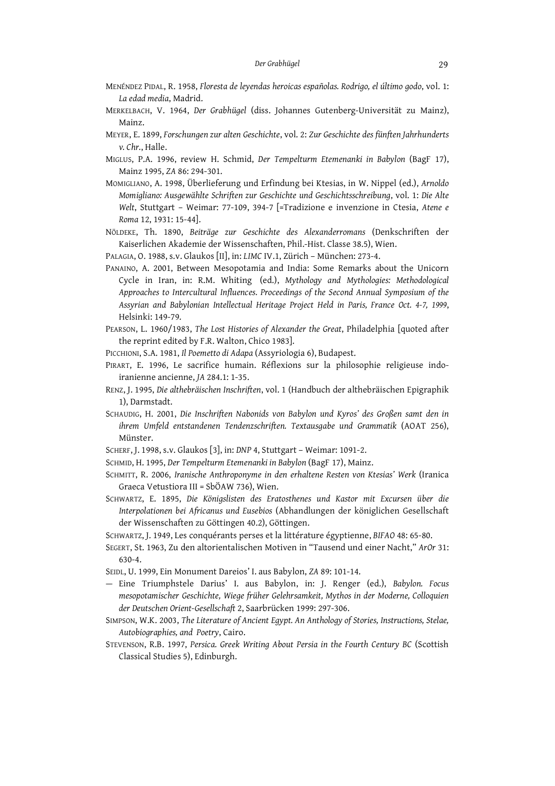- MENÉNDEZ PIDAL, R. 1958, *Floresta de leyendas heroicas españolas. Rodrigo, el último godo*, vol. 1: *La edad media*, Madrid.
- MERKELBACH, V. 1964, *Der Grabhügel* (diss. Johannes Gutenberg-Universität zu Mainz), Mainz.
- MEYER, E. 1899, *Forschungen zur alten Geschichte*, vol. 2: *Zur Geschichte des fünften Jahrhunderts v. Chr.*, Halle.
- MIGLUS, P.A. 1996, review H. Schmid, *Der Tempelturm Etemenanki in Babylon* (BagF 17), Mainz 1995, *ZA* 86: 294-301.
- MOMIGLIANO, A. 1998, Überlieferung und Erfindung bei Ktesias, in W. Nippel (ed.), *Arnoldo Momigliano: Ausgewählte Schriften zur Geschichte und Geschichtsschreibung*, vol. 1: *Die Alte Welt*, Stuttgart – Weimar: 77-109, 394-7 [=Tradizione e invenzione in Ctesia, *Atene e Roma* 12, 1931: 15-44].
- NÖLDEKE, Th. 1890, *Beiträge zur Geschichte des Alexanderromans* (Denkschriften der Kaiserlichen Akademie der Wissenschaften, Phil.-Hist. Classe 38.5), Wien.
- PALAGIA, O. 1988, s.v. Glaukos [II], in: *LIMC* IV.1, Zürich München: 273-4.
- PANAINO, A. 2001, Between Mesopotamia and India: Some Remarks about the Unicorn Cycle in Iran, in: R.M. Whiting (ed.), *Mythology and Mythologies: Methodological Approaches to Intercultural Influences. Proceedings of the Second Annual Symposium of the Assyrian and Babylonian Intellectual Heritage Project Held in Paris, France Oct. 4-7, 1999*, Helsinki: 149-79.
- PEARSON, L. 1960/1983, *The Lost Histories of Alexander the Great*, Philadelphia [quoted after the reprint edited by F.R. Walton, Chico 1983].
- PICCHIONI, S.A. 1981, *Il Poemetto di Adapa* (Assyriologia 6), Budapest.
- PIRART, E. 1996, Le sacrifice humain. Réflexions sur la philosophie religieuse indoiranienne ancienne, *JA* 284.1: 1-35.
- RENZ, J. 1995, *Die althebräischen Inschriften*, vol. 1 (Handbuch der althebräischen Epigraphik 1), Darmstadt.
- SCHAUDIG, H. 2001, *Die Inschriften Nabonids von Babylon und Kyros' des Großen samt den in ihrem Umfeld entstandenen Tendenzschriften. Textausgabe und Grammatik* (AOAT 256), Münster.
- SCHERF, J. 1998, s.v. Glaukos [3], in: *DNP* 4, Stuttgart Weimar: 1091-2.
- SCHMID, H. 1995, *Der Tempelturm Etemenanki in Babylon* (BagF 17), Mainz.
- SCHMITT, R. 2006, *Iranische Anthroponyme in den erhaltene Resten von Ktesias' Werk* (Iranica Graeca Vetustiora III = SbÖAW 736), Wien.
- SCHWARTZ, E. 1895, *Die Königslisten des Eratosthenes und Kastor mit Excursen über die Interpolationen bei Africanus und Eusebios* (Abhandlungen der königlichen Gesellschaft der Wissenschaften zu Göttingen 40.2), Göttingen.
- SCHWARTZ, J. 1949, Les conquérants perses et la littérature égyptienne, *BIFAO* 48: 65-80.
- SEGERT, St. 1963, Zu den altorientalischen Motiven in "Tausend und einer Nacht," *ArOr* 31: 630-4.
- SEIDL, U. 1999, Ein Monument Dareios' I. aus Babylon, *ZA* 89: 101-14.
- Eine Triumphstele Darius' I. aus Babylon, in: J. Renger (ed.), *Babylon. Focus mesopotamischer Geschichte, Wiege früher Gelehrsamkeit, Mythos in der Moderne, Colloquien der Deutschen Orient-Gesellschaft* 2, Saarbrücken 1999: 297-306.
- SIMPSON, W.K. 2003, *The Literature of Ancient Egypt. An Anthology of Stories, Instructions, Stelae, Autobiographies, and Poetry*, Cairo.
- STEVENSON, R.B. 1997, *Persica. Greek Writing About Persia in the Fourth Century BC* (Scottish Classical Studies 5), Edinburgh.